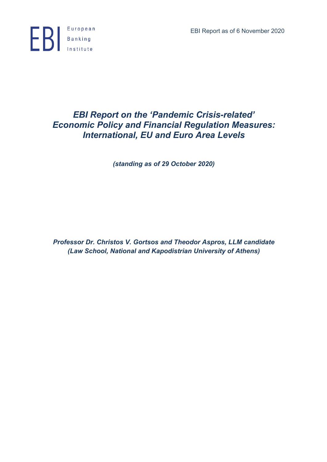EBI Report as of 6 November 2020



# *EBI Report on the 'Pandemic Crisis-related' Economic Policy and Financial Regulation Measures: International, EU and Euro Area Levels*

*(standing as of 29 October 2020)*

*Professor Dr. Christos V. Gortsos and Theodor Aspros, LLM candidate (Law School, National and Kapodistrian University of Athens)*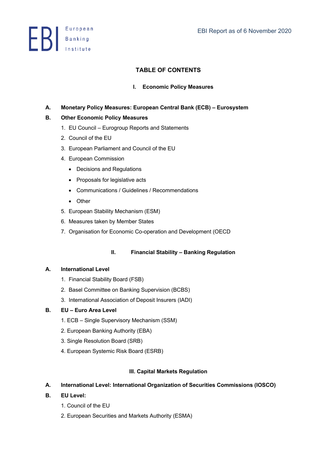**ED** Banking

# **TABLE OF CONTENTS**

# **I. Economic Policy Measures**

# **A. Monetary Policy Measures: European Central Bank (ECB) – Eurosystem**

# **B. Other Economic Policy Measures**

- 1. EU Council Eurogroup Reports and Statements
- 2. Council of the EU
- 3. European Parliament and Council of the EU
- 4. European Commission
	- Decisions and Regulations
	- Proposals for legislative acts
	- Communications / Guidelines / Recommendations
	- Other
- 5. European Stability Mechanism (ESM)
- 6. Measures taken by Member States
- 7. Organisation for Economic Co-operation and Development (OECD

# **II. Financial Stability – Banking Regulation**

### **A. International Level**

- 1. Financial Stability Board (FSB)
- 2. Basel Committee on Banking Supervision (BCBS)
- 3. International Association of Deposit Insurers (IADI)

### **B. EU – Euro Area Level**

- 1. ECB Single Supervisory Mechanism (SSM)
- 2. European Banking Authority (EBA)
- 3. Single Resolution Board (SRB)
- 4. European Systemic Risk Board (ESRB)

### **III. Capital Markets Regulation**

# **A. International Level: International Organization of Securities Commissions (IOSCO)**

- **B. EU Level:** 
	- 1. Council of the EU
	- 2. European Securities and Markets Authority (ESMA)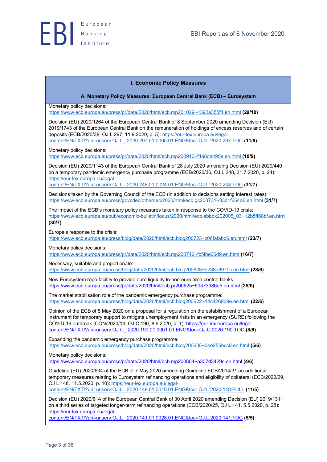### **I. Economic Policy Measures**

**A. Monetary Policy Measures: European Central Bank (ECB) – Eurosystem**

Monetary policy decisions:

https://www.ecb.europa.eu/press/pr/date/2020/html/ecb.mp201029~4392a355f4.en.html **(29/10)**

Decision (EU) 2020/1264 of the European Central Bank of 8 September 2020 amending Decision (EU) 2019/1743 of the European Central Bank on the remuneration of holdings of excess reserves and of certain deposits (ECB/2020/38, OJ L 297, 11.9.2020, p. 5): https://eur-lex.europa.eu/legalcontent/EN/TXT/?uri=uriserv:OJ.L\_.2020.297.01.0005.01.ENG&toc=OJ:L:2020:297:TOC **(11/9)**

Monetary policy decisions:

https://www.ecb.europa.eu/press/pr/date/2020/html/ecb.mp200910~f4a8da495e.en.html **(10/9)**

Decision (EU) 2020/1143 of the European Central Bank of 28 July 2020 amending Decision (EU) 2020/440 on a temporary pandemic emergency purchase programme (ECB/2020/36, OJ L 248, 31.7.2020, p. 24): https://eur-lex.europa.eu/legal-

content/EN/TXT/?uri=uriserv:OJ.L\_.2020.248.01.0024.01.ENG&toc=OJ:L:2020:248:TOC **(31/7)**

Decisions taken by the Governing Council of the ECB (in addition to decisions setting interest rates): https://www.ecb.europa.eu/press/govcdec/otherdec/2020/html/ecb.gc200731~33d1f664a6.en.html **(31/7)**

The impact of the ECB's monetary policy measures taken in response to the COVID-19 crisis: https://www.ecb.europa.eu/pub/economic-bulletin/focus/2020/html/ecb.ebbox202005\_03~12b5ff68bf.en.html **(30/7)**

Europe's response to the crisis:

https://www.ecb.europa.eu/press/blog/date/2020/html/ecb.blog200723~c06fafabb6.en.html **(23/7)**

Monetary policy decisions:

https://www.ecb.europa.eu/press/pr/date/2020/html/ecb.mp200716~fc5fbe06d9.en.html **(16/7)**

Necessary, suitable and proportionate:

https://www.ecb.europa.eu/press/blog/date/2020/html/ecb.blog200628~d238a8970c.en.html **(28/6)**

New Eurosystem repo facility to provide euro liquidity to non-euro area central banks: https://www.ecb.europa.eu/press/pr/date/2020/html/ecb.pr200625~60373986e5.en.html **(25/6)**

The market stabilisation role of the pandemic emergency purchase programme: https://www.ecb.europa.eu/press/blog/date/2020/html/ecb.blog200622~14c4269b9e.en.html **(22/6)**

Opinion of the ECB of 8 May 2020 on a proposal for a regulation on the establishment of a European instrument for temporary support to mitigate unemployment risks in an emergency (SURE) following the COVID-19 outbreak (CON/2020/14, OJ C 190, 8.6.2020, p. 1): https://eur-lex.europa.eu/legalcontent/EN/TXT/?uri=uriserv:OJ.C\_.2020.190.01.0001.01.ENG&toc=OJ:C:2020:190:TOC **(8/6)**

Expanding the pandemic emergency purchase programme: https://www.ecb.europa.eu/press/blog/date/2020/html/ecb.blog200605~0ee256bcc9.en.html **(5/6)**

Monetary policy decisions:

https://www.ecb.europa.eu/press/pr/date/2020/html/ecb.mp200604~a307d3429c.en.html **(4/6)**

Guideline (EU) 2020/634 of the ECB of 7 May 2020 amending Guideline ECB/2014/31 on additional temporary measures relating to Eurosystem refinancing operations and eligibility of collateral (ECB/2020/29, OJ L 148, 11.5.2020, p. 10): https://eur-lex.europa.eu/legal-

content/EN/TXT/?uri=uriserv:OJ.L\_.2020.148.01.0010.01.ENG&toc=OJ:L:2020:148:FULL **(11/5)**

Decision (EU) 2020/614 of the European Central Bank of 30 April 2020 amending Decision (EU) 2019/1311 on a third series of targeted longer-term refinancing operations (ECB/2020/25, OJ L 141, 5.5.2020, p. 28): https://eur-lex.europa.eu/legal-

content/EN/TXT/?uri=uriserv:OJ.L\_.2020.141.01.0028.01.ENG&toc=OJ:L:2020:141:TOC **(5/5)**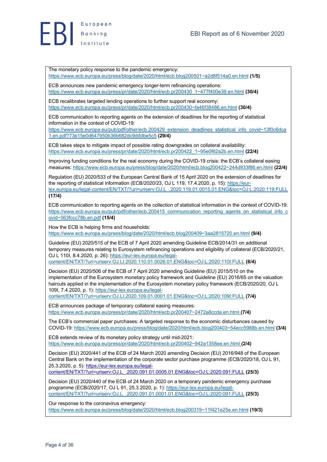

The monetary policy response to the pandemic emergency: https://www.ecb.europa.eu/press/blog/date/2020/html/ecb.blog200501~a2d8f514a0.en.html **(1/5)**

ECB announces new pandemic emergency longer-term refinancing operations: https://www.ecb.europa.eu/press/pr/date/2020/html/ecb.pr200430\_1~477f400e39.en.html **(30/4)**

ECB recalibrates targeted lending operations to further support real economy: https://www.ecb.europa.eu/press/pr/date/2020/html/ecb.pr200430~fa46f38486.en.html **(30/4)**

ECB communication to reporting agents on the extension of deadlines for the reporting of statistical information in the context of COVID-19:

https://www.ecb.europa.eu/pub/pdf/other/ecb.200429\_extension\_deadlines\_statistical\_info\_covid~13f0c6dca 1.en.pdf?73e15e0d647950b36b682dc9dddbe5c5 **(29/4)**

ECB takes steps to mitigate impact of possible rating downgrades on collateral availability: https://www.ecb.europa.eu/press/pr/date/2020/html/ecb.pr200422\_1~95e0f62a2b.en.html **(22/4)**

Improving funding conditions for the real economy during the COVID-19 crisis: the ECB's collateral easing measures: https://www.ecb.europa.eu/press/blog/date/2020/html/ecb.blog200422~244d933f86.en.html **(22/4)**

Regulation (EU) 2020/533 of the European Central Bank of 15 April 2020 on the extension of deadlines for the reporting of statistical information (ECB/2020/23, OJ L 119, 17.4.2020, p. 15): https://eurlex.europa.eu/legal-content/EN/TXT/?uri=uriserv:OJ.L\_.2020.119.01.0015.01.ENG&toc=OJ:L:2020:119:FULL **(17/4)**

ECB communication to reporting agents on the collection of statistical information in the context of COVID-19: https://www.ecb.europa.eu/pub/pdf/other/ecb.200415\_communication\_reporting\_agents\_on\_statistical\_info\_c ovid~563fccc78b.en.pdf **(15/4)**

How the ECB is helping firms and households: https://www.ecb.europa.eu/press/blog/date/2020/html/ecb.blog200409~3aa2815720.en.html **(9/4)**

Guideline (EU) 2020/515 of the ECB of 7 April 2020 amending Guideline ECB/2014/31 on additional temporary measures relating to Eurosystem refinancing operations and eligibility of collateral (ECB/2020/21, OJ L 110I, 8.4.2020, p. 26): https://eur-lex.europa.eu/legalcontent/EN/TXT/?uri=uriserv:OJ.LI.2020.110.01.0026.01.ENG&toc=OJ:L:2020:110I:FULL **(8/4)**

Decision (EU) 2020/506 of the ECB of 7 April 2020 amending Guideline (EU) 2015/510 on the implementation of the Eurosystem monetary policy framework and Guideline (EU) 2016/65 on the valuation haircuts applied in the implementation of the Eurosystem monetary policy framework (ECB/2020/20, OJ L 109I, 7.4.2020, p. 1): https://eur-lex.europa.eu/legal-

content/EN/TXT/?uri=uriserv:OJ.LI.2020.109.01.0001.01.ENG&toc=OJ:L:2020:109I:FULL **(7/4)**

ECB announces package of temporary collateral easing measures: https://www.ecb.europa.eu/press/pr/date/2020/html/ecb.pr200407~2472a8ccda.en.html **(7/4)**

The ECB's commercial paper purchases: A targeted response to the economic disturbances caused by COVID-19: https://www.ecb.europa.eu/press/blog/date/2020/html/ecb.blog200403~54ecc5988b.en.html **(3/4)**

ECB extends review of its monetary policy strategy until mid-2021: https://www.ecb.europa.eu/press/pr/date/2020/html/ecb.pr200402~942a1358ee.en.html **(2/4)**

Decision (EU) 2020/441 of the ECB of 24 March 2020 amending Decision (EU) 2016/948 of the European Central Bank on the implementation of the corporate sector purchase programme (ECB/2020/18, OJ L 91, 25.3.2020, p. 5): https://eur-lex.europa.eu/legalcontent/EN/TXT/?uri=uriserv:OJ.L\_.2020.091.01.0005.01.ENG&toc=OJ:L:2020:091:FULL **(25/3)**

Decision (EU) 2020/440 of the ECB of 24 March 2020 on a temporary pandemic emergency purchase programme (ECB/2020/17, OJ L 91, 25.3.2020, p. 1): https://eur-lex.europa.eu/legalcontent/EN/TXT/?uri=uriserv:OJ.L\_.2020.091.01.0001.01.ENG&toc=OJ:L:2020:091:FULL **(25/3)**

Our response to the coronavirus emergency: https://www.ecb.europa.eu/press/blog/date/2020/html/ecb.blog200319~11f421e25e.en.html **(19/3)**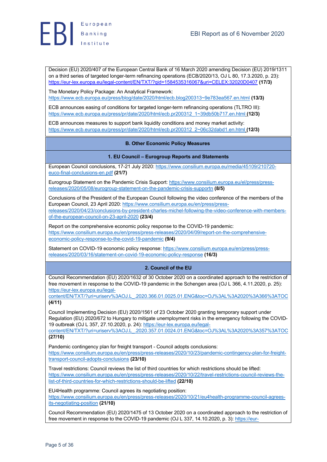

Decision (EU) 2020/407 of the European Central Bank of 16 March 2020 amending Decision (EU) 2019/1311 on a third series of targeted longer-term refinancing operations (ECB/2020/13, OJ L 80, 17.3.2020, p. 23): https://eur-lex.europa.eu/legal-content/EN/TXT/?qid=1584535316067&uri=CELEX:32020D0407 **(17/3)**

The Monetary Policy Package: An Analytical Framework: https://www.ecb.europa.eu/press/blog/date/2020/html/ecb.blog200313~9e783ea567.en.html **(13/3)**

ECB announces easing of conditions for targeted longer-term refinancing operations (TLTRO III): https://www.ecb.europa.eu/press/pr/date/2020/html/ecb.pr200312\_1~39db50b717.en.html **(12/3)**

ECB announces measures to support bank liquidity conditions and money market activity: https://www.ecb.europa.eu/press/pr/date/2020/html/ecb.pr200312\_2~06c32dabd1.en.html **(12/3)**

### **B. Other Economic Policy Measures**

### **1. EU Council – Eurogroup Reports and Statements**

European Council conclusions, 17-21 July 2020: https://www.consilium.europa.eu/media/45109/210720 euco-final-conclusions-en.pdf **(21/7)**

Eurogroup Statement on the Pandemic Crisis Support: https://www.consilium.europa.eu/el/press/pressreleases/2020/05/08/eurogroup-statement-on-the-pandemic-crisis-supportn **(8/5)**

Conclusions of the President of the European Council following the video conference of the members of the European Council, 23 April 2020: https://www.consilium.europa.eu/en/press/pressreleases/2020/04/23/conclusions-by-president-charles-michel-following-the-video-conference-with-membersof-the-european-council-on-23-april-2020 **(23/4)**

Report on the comprehensive economic policy response to the COVID-19 pandemic: https://www.consilium.europa.eu/en/press/press-releases/2020/04/09/report-on-the-comprehensiveeconomic-policy-response-to-the-covid-19-pandemic **(9/4)**

Statement on COVID-19 economic policy response: https://www.consilium.europa.eu/en/press/pressreleases/2020/03/16/statement-on-covid-19-economic-policy-response **(16/3)**

### **2. Council of the EU**

Council Recommendation (EU) 2020/1632 of 30 October 2020 on a coordinated approach to the restriction of free movement in response to the COVID-19 pandemic in the Schengen area (OJ L 366, 4.11.2020, p. 25): https://eur-lex.europa.eu/legal-

content/EN/TXT/?uri=uriserv%3AOJ.L\_.2020.366.01.0025.01.ENG&toc=OJ%3AL%3A2020%3A366%3ATOC **(4/11)**

Council Implementing Decision (EU) 2020/1561 of 23 October 2020 granting temporary support under Regulation (EU) 2020/672 to Hungary to mitigate unemployment risks in the emergency following the COVID-19 outbreak (OJ L 357, 27.10.2020, p. 24): https://eur-lex.europa.eu/legal-

content/EN/TXT/?uri=uriserv%3AOJ.L\_.2020.357.01.0024.01.ENG&toc=OJ%3AL%3A2020%3A357%3ATOC **(27/10)**

Pandemic contingency plan for freight transport - Council adopts conclusions: https://www.consilium.europa.eu/en/press/press-releases/2020/10/23/pandemic-contingency-plan-for-freighttransport-council-adopts-conclusions **(23/10)**

Travel restrictions: Council reviews the list of third countries for which restrictions should be lifted: https://www.consilium.europa.eu/en/press/press-releases/2020/10/22/travel-restrictions-council-reviews-thelist-of-third-countries-for-which-restrictions-should-be-lifted **(22/10)**

EU4Health programme: Council agrees its negotiating position: https://www.consilium.europa.eu/en/press/press-releases/2020/10/21/eu4health-programme-council-agreesits-negotiating-position **(21/10)**

Council Recommendation (EU) 2020/1475 of 13 October 2020 on a coordinated approach to the restriction of free movement in response to the COVID-19 pandemic (OJ L 337, 14.10.2020, p. 3): https://eur-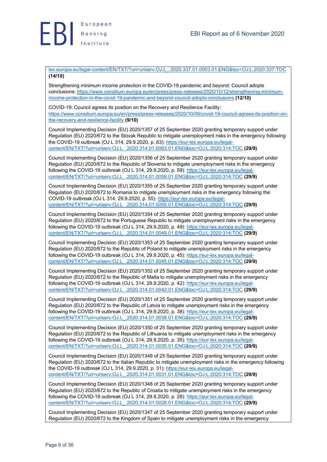

lex.europa.eu/legal-content/EN/TXT/?uri=uriserv:OJ.L\_.2020.337.01.0003.01.ENG&toc=OJ:L:2020:337:TOC **(14/10)**

Strengthening minimum income protection in the COVID-19 pandemic and beyond: Council adopts conclusions: https://www.consilium.europa.eu/en/press/press-releases/2020/10/12/strengthening-minimumincome-protection-in-the-covid-19-pandemic-and-beyond-council-adopts-conclusions **(12/10)**

COVID-19: Council agrees its position on the Recovery and Resilience Facility: https://www.consilium.europa.eu/en/press/press-releases/2020/10/09/covid-19-council-agrees-its-position-onthe-recovery-and-resilience-facility **(9/10)**

Council Implementing Decision (EU) 2020/1357 of 25 September 2020 granting temporary support under Regulation (EU) 2020/672 to the Slovak Republic to mitigate unemployment risks in the emergency following the COVID-19 outbreak (OJ L 314, 29.9.2020, p. 63): https://eur-lex.europa.eu/legalcontent/EN/TXT/?uri=uriserv:OJ.L\_.2020.314.01.0063.01.ENG&toc=OJ:L:2020:314:TOC **(29/9)**

Council Implementing Decision (EU) 2020/1356 of 25 September 2020 granting temporary support under Regulation (EU) 2020/672 to the Republic of Slovenia to mitigate unemployment risks in the emergency following the COVID-19 outbreak (OJ L 314, 29.9.2020, p. 59): https://eur-lex.europa.eu/legalcontent/EN/TXT/?uri=uriserv:OJ.L\_.2020.314.01.0059.01.ENG&toc=OJ:L:2020:314:TOC **(29/9)**

Council Implementing Decision (EU) 2020/1355 of 25 September 2020 granting temporary support under Regulation (EU) 2020/672 to Romania to mitigate unemployment risks in the emergency following the COVID-19 outbreak (OJ L 314, 29.9.2020, p. 55): https://eur-lex.europa.eu/legalcontent/EN/TXT/?uri=uriserv:OJ.L\_.2020.314.01.0055.01.ENG&toc=OJ:L:2020:314:TOC **(29/9)**

Council Implementing Decision (EU) 2020/1354 of 25 September 2020 granting temporary support under Regulation (EU) 2020/672 to the Portuguese Republic to mitigate unemployment risks in the emergency following the COVID-19 outbreak (OJ L 314, 29.9.2020, p. 49): https://eur-lex.europa.eu/legalcontent/EN/TXT/?uri=uriserv:OJ.L\_.2020.314.01.0049.01.ENG&toc=OJ:L:2020:314:TOC **(29/9)**

Council Implementing Decision (EU) 2020/1353 of 25 September 2020 granting temporary support under Regulation (EU) 2020/672 to the Republic of Poland to mitigate unemployment risks in the emergency following the COVID-19 outbreak (OJ L 314, 29.9.2020, p. 45): https://eur-lex.europa.eu/legalcontent/EN/TXT/?uri=uriserv:OJ.L\_.2020.314.01.0045.01.ENG&toc=OJ:L:2020:314:TOC **(29/9)**

Council Implementing Decision (EU) 2020/1352 of 25 September 2020 granting temporary support under Regulation (EU) 2020/672 to the Republic of Malta to mitigate unemployment risks in the emergency following the COVID-19 outbreak (OJ L 314, 29.9.2020, p. 42): https://eur-lex.europa.eu/legalcontent/EN/TXT/?uri=uriserv:OJ.L\_.2020.314.01.0042.01.ENG&toc=OJ:L:2020:314:TOC **(29/9)**

Council Implementing Decision (EU) 2020/1351 of 25 September 2020 granting temporary support under Regulation (EU) 2020/672 to the Republic of Latvia to mitigate unemployment risks in the emergency following the COVID-19 outbreak (OJ L 314, 29.9.2020, p. 38): https://eur-lex.europa.eu/legalcontent/EN/TXT/?uri=uriserv:OJ.L\_.2020.314.01.0038.01.ENG&toc=OJ:L:2020:314:TOC **(29/9)**

Council Implementing Decision (EU) 2020/1350 of 25 September 2020 granting temporary support under Regulation (EU) 2020/672 to the Republic of Lithuania to mitigate unemployment risks in the emergency following the COVID-19 outbreak (OJ L 314, 29.9.2020, p. 35): https://eur-lex.europa.eu/legalcontent/EN/TXT/?uri=uriserv:OJ.L\_.2020.314.01.0035.01.ENG&toc=OJ:L:2020:314:TOC **(29/9)**

Council Implementing Decision (EU) 2020/1349 of 25 September 2020 granting temporary support under Regulation (EU) 2020/672 to the Italian Republic to mitigate unemployment risks in the emergency following the COVID-19 outbreak (OJ L 314, 29.9.2020, p. 31): https://eur-lex.europa.eu/legalcontent/EN/TXT/?uri=uriserv:OJ.L\_.2020.314.01.0031.01.ENG&toc=OJ:L:2020:314:TOC **(29/9)**

Council Implementing Decision (EU) 2020/1348 of 25 September 2020 granting temporary support under Regulation (EU) 2020/672 to the Republic of Croatia to mitigate unemployment risks in the emergency following the COVID-19 outbreak (OJ L 314, 29.9.2020, p. 28): https://eur-lex.europa.eu/legalcontent/EN/TXT/?uri=uriserv:OJ.L\_.2020.314.01.0028.01.ENG&toc=OJ:L:2020:314:TOC **(29/9)**

Council Implementing Decision (EU) 2020/1347 of 25 September 2020 granting temporary support under Regulation (EU) 2020/672 to the Kingdom of Spain to mitigate unemployment risks in the emergency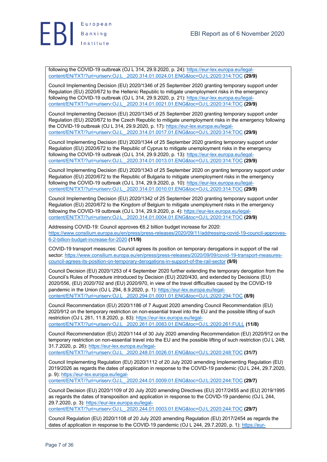

following the COVID-19 outbreak (OJ L 314, 29.9.2020, p. 24): https://eur-lex.europa.eu/legalcontent/EN/TXT/?uri=uriserv:OJ.L\_.2020.314.01.0024.01.ENG&toc=OJ:L:2020:314:TOC **(29/9)**

Council Implementing Decision (EU) 2020/1346 of 25 September 2020 granting temporary support under Regulation (EU) 2020/672 to the Hellenic Republic to mitigate unemployment risks in the emergency following the COVID-19 outbreak (OJ L 314, 29.9.2020, p. 21): https://eur-lex.europa.eu/legalcontent/EN/TXT/?uri=uriserv:OJ.L\_.2020.314.01.0021.01.ENG&toc=OJ:L:2020:314:TOC **(29/9)**

Council Implementing Decision (EU) 2020/1345 of 25 September 2020 granting temporary support under Regulation (EU) 2020/672 to the Czech Republic to mitigate unemployment risks in the emergency following the COVID-19 outbreak (OJ L 314, 29.9.2020, p. 17): https://eur-lex.europa.eu/legalcontent/EN/TXT/?uri=uriserv:OJ.L\_.2020.314.01.0017.01.ENG&toc=OJ:L:2020:314:TOC **(29/9)**

Council Implementing Decision (EU) 2020/1344 of 25 September 2020 granting temporary support under Regulation (EU) 2020/672 to the Republic of Cyprus to mitigate unemployment risks in the emergency following the COVID-19 outbreak (OJ L 314, 29.9.2020, p. 13): https://eur-lex.europa.eu/legalcontent/EN/TXT/?uri=uriserv:OJ.L\_.2020.314.01.0013.01.ENG&toc=OJ:L:2020:314:TOC **(29/9)**

Council Implementing Decision (EU) 2020/1343 of 25 September 2020 on granting temporary support under Regulation (EU) 2020/672 to the Republic of Bulgaria to mitigate unemployment risks in the emergency following the COVID-19 outbreak (OJ L 314, 29.9.2020, p. 10): https://eur-lex.europa.eu/legalcontent/EN/TXT/?uri=uriserv:OJ.L\_.2020.314.01.0010.01.ENG&toc=OJ:L:2020:314:TOC **(29/9)**

Council Implementing Decision (EU) 2020/1342 of 25 September 2020 granting temporary support under Regulation (EU) 2020/672 to the Kingdom of Belgium to mitigate unemployment risks in the emergency following the COVID-19 outbreak (OJ L 314, 29.9.2020, p. 4): https://eur-lex.europa.eu/legalcontent/EN/TXT/?uri=uriserv:OJ.L\_.2020.314.01.0004.01.ENG&toc=OJ:L:2020:314:TOC **(29/9)**

Addressing COVID-19: Council approves €6.2 billion budget increase for 2020: https://www.consilium.europa.eu/en/press/press-releases/2020/09/11/addressing-covid-19-council-approves-6-2-billion-budget-increase-for-2020 **(11/9)**

COVID-19 transport measures: Council agrees its position on temporary derogations in support of the rail sector: https://www.consilium.europa.eu/en/press/press-releases/2020/09/09/covid-19-transport-measurescouncil-agrees-its-position-on-temporary-derogations-in-support-of-the-rail-sector **(9/9)**

Council Decision (EU) 2020/1253 of 4 September 2020 further extending the temporary derogation from the Council's Rules of Procedure introduced by Decision (EU) 2020/430, and extended by Decisions (EU) 2020/556, (EU) 2020/702 and (EU) 2020/970, in view of the travel difficulties caused by the COVID-19 pandemic in the Union (OJ L 294, 8.9.2020, p. 1): https://eur-lex.europa.eu/legalcontent/EN/TXT/?uri=uriserv:OJ.L\_.2020.294.01.0001.01.ENG&toc=OJ:L:2020:294:TOC **(8/9)**

Council Recommendation (EU) 2020/1186 of 7 August 2020 amending Council Recommendation (EU) 2020/912 on the temporary restriction on non-essential travel into the EU and the possible lifting of such restriction (OJ L 261, 11.8.2020, p. 83): https://eur-lex.europa.eu/legalcontent/EN/TXT/?uri=uriserv:OJ.L\_.2020.261.01.0083.01.ENG&toc=OJ:L:2020:261:FULL **(11/8)**

Council Recommendation (EU) 2020/1144 of 30 July 2020 amending Recommendation (EU) 2020/912 on the temporary restriction on non-essential travel into the EU and the possible lifting of such restriction (OJ L 248, 31.7.2020, p. 26): https://eur-lex.europa.eu/legal-

content/EN/TXT/?uri=uriserv:OJ.L\_.2020.248.01.0026.01.ENG&toc=OJ:L:2020:248:TOC **(31/7)**

Council Implementing Regulation (EU) 2020/1112 of 20 July 2020 amending Implementing Regulation (EU) 2019/2026 as regards the dates of application in response to the COVID-19 pandemic (OJ L 244, 29.7.2020, p. 9): https://eur-lex.europa.eu/legal-

content/EN/TXT/?uri=uriserv:OJ.L\_.2020.244.01.0009.01.ENG&toc=OJ:L:2020:244:TOC **(29/7)**

Council Decision (EU) 2020/1109 of 20 July 2020 amending Directives (EU) 2017/2455 and (EU) 2019/1995 as regards the dates of transposition and application in response to the COVID-19 pandemic (OJ L 244, 29.7.2020, p. 3): https://eur-lex.europa.eu/legalcontent/EN/TXT/?uri=uriserv:OJ.L\_.2020.244.01.0003.01.ENG&toc=OJ:L:2020:244:TOC **(29/7)**

Council Regulation (EU) 2020/1108 of 20 July 2020 amending Regulation (EU) 2017/2454 as regards the

dates of application in response to the COVID-19 pandemic (OJ L 244, 29.7.2020, p. 1): https://eur-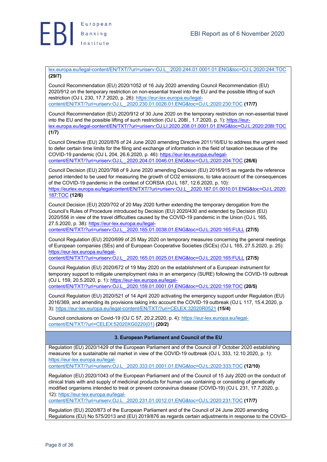

lex.europa.eu/legal-content/EN/TXT/?uri=uriserv:OJ.L\_.2020.244.01.0001.01.ENG&toc=OJ:L:2020:244:TOC **(29/7)**

Council Recommendation (EU) 2020/1052 of 16 July 2020 amending Council Recommendation (EU) 2020/912 on the temporary restriction on non-essential travel into the EU and the possible lifting of such restriction (OJ L 230, 17.7.2020, p. 26): https://eur-lex.europa.eu/legalcontent/EN/TXT/?uri=uriserv:OJ.L\_.2020.230.01.0026.01.ENG&toc=OJ:L:2020:230:TOC **(17/7)**

Council Recommendation (EU) 2020/912 of 30 June 2020 on the temporary restriction on non-essential travel into the EU and the possible lifting of such restriction (OJ L 208I, 1.7.2020, p. 1): https://eurlex.europa.eu/legal-content/EN/TXT/?uri=uriserv:OJ.LI.2020.208.01.0001.01.ENG&toc=OJ:L:2020:208I:TOC **(1/7)**

Council Directive (EU) 2020/876 of 24 June 2020 amending Directive 2011/16/EU to address the urgent need to defer certain time limits for the filing and exchange of information in the field of taxation because of the COVID-19 pandemic (OJ L 204, 26.6.2020, p. 46): https://eur-lex.europa.eu/legalcontent/EN/TXT/?uri=uriserv:OJ.L\_.2020.204.01.0046.01.ENG&toc=OJ:L:2020:204:TOC **(26/6)**

Council Decision (EU) 2020/768 of 9 June 2020 amending Decision (EU) 2016/915 as regards the reference period intended to be used for measuring the growth of CO2 emissions, to take account of the consequences of the COVID-19 pandemic in the context of CORSIA (OJ L 187, 12.6.2020, p. 10): https://eurlex.europa.eu/legalcontent/EN/TXT/?uri=uriserv:OJ.L\_.2020.187.01.0010.01.ENG&toc=OJ:L:2020: 187:TOC **(12/6)**

Council Decision (EU) 2020/702 of 20 May 2020 further extending the temporary derogation from the Council's Rules of Procedure introduced by Decision (EU) 2020/430 and extended by Decision (EU) 2020/556 in view of the travel difficulties caused by the COVID-19 pandemic in the Union (OJ L 165, 27.5.2020, p. 38): https://eur-lex.europa.eu/legal-

content/EN/TXT/?uri=uriserv:OJ.L\_.2020.165.01.0038.01.ENG&toc=OJ:L:2020:165:FULL **(27/5)**

Council Regulation (EU) 2020/699 of 25 May 2020 on temporary measures concerning the general meetings of European companies (SEs) and of European Cooperative Societies (SCEs) (OJ L 165, 27.5.2020, p. 25): https://eur-lex.europa.eu/legal-

content/EN/TXT/?uri=uriserv:OJ.L\_.2020.165.01.0025.01.ENG&toc=OJ:L:2020:165:FULL **(27/5)**

Council Regulation (EU) 2020/672 of 19 May 2020 on the establishment of a European instrument for temporary support to mitigate unemployment risks in an emergency (SURE) following the COVID-19 outbreak (OJ L 159, 20.5.2020, p. 1): https://eur-lex.europa.eu/legalcontent/EN/TXT/?uri=uriserv:OJ.L\_.2020.159.01.0001.01.ENG&toc=OJ:L:2020:159:TOC **(20/5)**

Council Regulation (EU) 2020/521 of 14 April 2020 activating the emergency support under Regulation (EU) 2016/369, and amending its provisions taking into account the COVID-19 outbreak (OJ L 117, 15.4.2020, p. 3): https://eur-lex.europa.eu/legal-content/EN/TXT/?uri=CELEX:32020R0521 **(15/4)**

Council conclusions on Covid-19 (OJ C 57, 20.2.2020, p. 4): https://eur-lex.europa.eu/legalcontent/EN/TXT/?uri=CELEX:52020XG0220(01) **(20/2)**

### **3. European Parliament and Council of the EU**

Regulation (EU) 2020/1429 of the European Parliament and of the Council of 7 October 2020 establishing measures for a sustainable rail market in view of the COVID-19 outbreak (OJ L 333, 12.10.2020, p. 1): https://eur-lex.europa.eu/legal-

content/EN/TXT/?uri=uriserv:OJ.L\_.2020.333.01.0001.01.ENG&toc=OJ:L:2020:333:TOC **(12/10)**

Regulation (EU) 2020/1043 of the European Parliament and of the Council of 15 July 2020 on the conduct of clinical trials with and supply of medicinal products for human use containing or consisting of genetically modified organisms intended to treat or prevent coronavirus disease (COVID-19) (OJ L 231, 17.7.2020, p. 12): https://eur-lex.europa.eu/legal-

content/EN/TXT/?uri=uriserv:OJ.L\_.2020.231.01.0012.01.ENG&toc=OJ:L:2020:231:TOC **(17/7)**

Regulation (EU) 2020/873 of the European Parliament and of the Council of 24 June 2020 amending Regulations (EU) No 575/2013 and (EU) 2019/876 as regards certain adjustments in response to the COVID-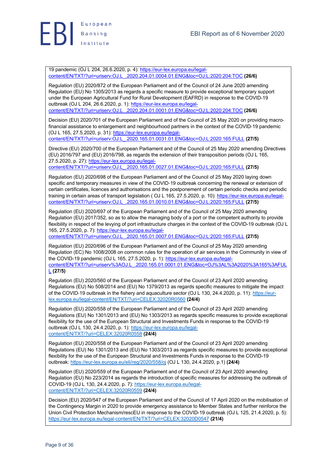

19 pandemic (OJ L 204, 26.6.2020, p. 4): https://eur-lex.europa.eu/legalcontent/EN/TXT/?uri=uriserv:OJ.L\_.2020.204.01.0004.01.ENG&toc=OJ:L:2020:204:TOC **(26/6)**

Regulation (EU) 2020/872 of the European Parliament and of the Council of 24 June 2020 amending Regulation (EU) No 1305/2013 as regards a specific measure to provide exceptional temporary support under the European Agricultural Fund for Rural Development (EAFRD) in response to the COVID-19 outbreak (OJ L 204, 26.6.2020, p. 1): https://eur-lex.europa.eu/legalcontent/EN/TXT/?uri=uriserv:OJ.L\_.2020.204.01.0001.01.ENG&toc=OJ:L:2020:204:TOC **(26/6)**

Decision (EU) 2020/701 of the European Parliament and of the Council of 25 May 2020 on providing macrofinancial assistance to enlargement and neighbourhood partners in the context of the COVID-19 pandemic (OJ L 165, 27.5.2020, p. 31): https://eur-lex.europa.eu/legal-

content/EN/TXT/?uri=uriserv:OJ.L\_.2020.165.01.0031.01.ENG&toc=OJ:L:2020:165:FULL **(27/5)**

Directive (EU) 2020/700 of the European Parliament and of the Council of 25 May 2020 amending Directives (EU) 2016/797 and (EU) 2016/798, as regards the extension of their transposition periods (OJ L 165, 27.5.2020, p. 27): https://eur-lex.europa.eu/legal-

content/EN/TXT/?uri=uriserv:OJ.L\_.2020.165.01.0027.01.ENG&toc=OJ:L:2020:165:FULL **(27/5)**

Regulation (EU) 2020/698 of the European Parliament and of the Council of 25 May 2020 laying down specific and temporary measures in view of the COVID-19 outbreak concerning the renewal or extension of certain certificates, licences and authorisations and the postponement of certain periodic checks and periodic training in certain areas of transport legislation ( OJ L 165, 27.5.2020, p. 10): https://eur-lex.europa.eu/legalcontent/EN/TXT/?uri=uriserv:OJ.L\_.2020.165.01.0010.01.ENG&toc=OJ:L:2020:165:FULL **(27/5)**

Regulation (EU) 2020/697 of the European Parliament and of the Council of 25 May 2020 amending Regulation (EU) 2017/352, so as to allow the managing body of a port or the competent authority to provide flexibility in respect of the levying of port infrastructure charges in the context of the COVID-19 outbreak (OJ L 165, 27.5.2020, p. 7): https://eur-lex.europa.eu/legal-

content/EN/TXT/?uri=uriserv:OJ.L\_.2020.165.01.0007.01.ENG&toc=OJ:L:2020:165:FULL **(27/5)**

Regulation (EU) 2020/696 of the European Parliament and of the Council of 25 May 2020 amending Regulation (EC) No 1008/2008 on common rules for the operation of air services in the Community in view of the COVID-19 pandemic (OJ L 165, 27.5.2020, p. 1): https://eur-lex.europa.eu/legalcontent/EN/TXT/?uri=uriserv%3AOJ.L\_.2020.165.01.0001.01.ENG&toc=OJ%3AL%3A2020%3A165%3AFUL L **(27/5)**

Regulation (EU) 2020/560 of the European Parliament and of the Council of 23 April 2020 amending Regulations (EU) No 508/2014 and (EU) No 1379/2013 as regards specific measures to mitigate the impact of the COVID-19 outbreak in the fishery and aquaculture sector (OJ L 130, 24.4.2020, p. 11): https://eurlex.europa.eu/legal-content/EN/TXT/?uri=CELEX:32020R0560 **(24/4)**

Regulation (EU) 2020/558 of the European Parliament and of the Council of 23 April 2020 amending Regulations (EU) No 1301/2013 and (EU) No 1303/2013 as regards specific measures to provide exceptional flexibility for the use of the European Structural and Investments Funds in response to the COVID-19 outbreak (OJ L 130, 24.4.2020, p. 1): https://eur-lex.europa.eu/legalcontent/EN/TXT/?uri=CELEX:32020R0558 **(24/4)**

Regulation (EU) 2020/558 of the European Parliament and of the Council of 23 April 2020 amending Regulations (EU) No 1301/2013 and (EU) No 1303/2013 as regards specific measures to provide exceptional flexibility for the use of the European Structural and Investments Funds in response to the COVID-19 outbreak: https://eur-lex.europa.eu/eli/reg/2020/558/oj (OJ L 130, 24.4.2020, p.1) **(24/4)**

Regulation (EU) 2020/559 of the European Parliament and of the Council of 23 April 2020 amending Regulation (EU) No 223/2014 as regards the introduction of specific measures for addressing the outbreak of COVID-19 (OJ L 130, 24.4.2020, p. 7): https://eur-lex.europa.eu/legalcontent/EN/TXT/?uri=CELEX:32020R0559 **(24/4)**

Decision (EU) 2020/547 of the European Parliament and of the Council of 17 April 2020 on the mobilisation of the Contingency Margin in 2020 to provide emergency assistance to Member States and further reinforce the Union Civil Protection Mechanism/rescEU in response to the COVID-19 outbreak (OJ L 125, 21.4.2020, p. 5): https://eur-lex.europa.eu/legal-content/EN/TXT/?uri=CELEX:32020D0547 **(21/4)**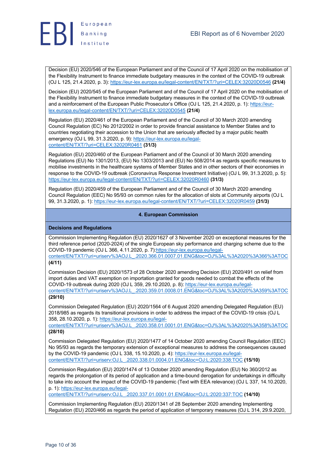

Decision (EU) 2020/546 of the European Parliament and of the Council of 17 April 2020 on the mobilisation of the Flexibility Instrument to finance immediate budgetary measures in the context of the COVID-19 outbreak (OJ L 125, 21.4.2020, p. 3): https://eur-lex.europa.eu/legal-content/EN/TXT/?uri=CELEX:32020D0546 **(21/4)**

Decision (EU) 2020/545 of the European Parliament and of the Council of 17 April 2020 on the mobilisation of the Flexibility Instrument to finance immediate budgetary measures in the context of the COVID-19 outbreak and a reinforcement of the European Public Prosecutor's Office (OJ L 125, 21.4.2020, p. 1): https://eurlex.europa.eu/legal-content/EN/TXT/?uri=CELEX:32020D0545 **(21/4)**

Regulation (EU) 2020/461 of the European Parliament and of the Council of 30 March 2020 amending Council Regulation (EC) No 2012/2002 in order to provide financial assistance to Member States and to countries negotiating their accession to the Union that are seriously affected by a major public health emergency (OJ L 99, 31.3.2020, p. 9): https://eur-lex.europa.eu/legalcontent/EN/TXT/?uri=CELEX:32020R0461 **(31/3)**

Regulation (EU) 2020/460 of the European Parliament and of the Council of 30 March 2020 amending Regulations (EU) No 1301/2013, (EU) No 1303/2013 and (EU) No 508/2014 as regards specific measures to mobilise investments in the healthcare systems of Member States and in other sectors of their economies in response to the COVID-19 outbreak (Coronavirus Response Investment Initiative) (OJ L 99, 31.3.2020, p. 5): https://eur-lex.europa.eu/legal-content/EN/TXT/?uri=CELEX:32020R0460 **(31/3)**

Regulation (EU) 2020/459 of the European Parliament and of the Council of 30 March 2020 amending Council Regulation (EEC) No 95/93 on common rules for the allocation of slots at Community airports (OJ L 99, 31.3.2020, p. 1): https://eur-lex.europa.eu/legal-content/EN/TXT/?uri=CELEX:32020R0459 **(31/3)**

### **4. European Commission**

### **Decisions and Regulations**

Commission Implementing Regulation (EU) 2020/1627 of 3 November 2020 on exceptional measures for the third reference period (2020-2024) of the single European sky performance and charging scheme due to the COVID-19 pandemic (OJ L 366, 4.11.2020, p. 7):https://eur-lex.europa.eu/legalcontent/EN/TXT/?uri=uriserv%3AOJ.L\_.2020.366.01.0007.01.ENG&toc=OJ%3AL%3A2020%3A366%3ATOC

**(4/11)**

Commission Decision (EU) 2020/1573 of 28 October 2020 amending Decision (EU) 2020/491 on relief from import duties and VAT exemption on importation granted for goods needed to combat the effects of the COVID-19 outbreak during 2020 (OJ L 359, 29.10.2020, p. 8): https://eur-lex.europa.eu/legalcontent/EN/TXT/?uri=uriserv%3AOJ.L\_.2020.359.01.0008.01.ENG&toc=OJ%3AL%3A2020%3A359%3ATOC **(29/10)**

Commission Delegated Regulation (EU) 2020/1564 of 6 August 2020 amending Delegated Regulation (EU) 2018/985 as regards its transitional provisions in order to address the impact of the COVID-19 crisis (OJ L 358, 28.10.2020, p. 1): https://eur-lex.europa.eu/legal-

content/EN/TXT/?uri=uriserv%3AOJ.L\_.2020.358.01.0001.01.ENG&toc=OJ%3AL%3A2020%3A358%3ATOC **(28/10)**

Commission Delegated Regulation (EU) 2020/1477 of 14 October 2020 amending Council Regulation (EEC) No 95/93 as regards the temporary extension of exceptional measures to address the consequences caused by the COVID-19 pandemic (OJ L 338, 15.10.2020, p. 4): https://eur-lex.europa.eu/legalcontent/EN/TXT/?uri=uriserv:OJ.L\_.2020.338.01.0004.01.ENG&toc=OJ:L:2020:338:TOC **(15/10)**

Commission Regulation (EU) 2020/1474 of 13 October 2020 amending Regulation (EU) No 360/2012 as regards the prolongation of its period of application and a time-bound derogation for undertakings in difficulty to take into account the impact of the COVID-19 pandemic (Text with EEA relevance) (OJ L 337, 14.10.2020, p. 1): https://eur-lex.europa.eu/legal-

content/EN/TXT/?uri=uriserv:OJ.L\_.2020.337.01.0001.01.ENG&toc=OJ:L:2020:337:TOC **(14/10)**

Commission Implementing Regulation (EU) 2020/1341 of 28 September 2020 amending Implementing Regulation (EU) 2020/466 as regards the period of application of temporary measures (OJ L 314, 29.9.2020,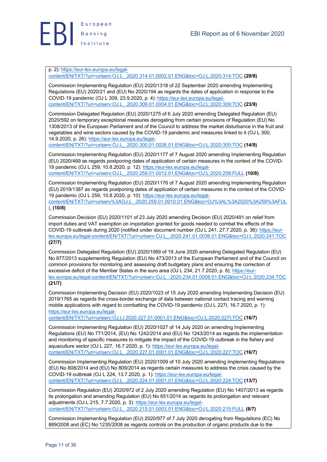

p. 2): https://eur-lex.europa.eu/legal-

content/EN/TXT/?uri=uriserv:OJ.L\_.2020.314.01.0002.01.ENG&toc=OJ:L:2020:314:TOC **(29/9)**

Commission Implementing Regulation (EU) 2020/1318 of 22 September 2020 amending Implementing Regulations (EU) 2020/21 and (EU) No 2020/194 as regards the dates of application in response to the COVID-19 pandemic (OJ L 309, 23.9.2020, p. 4): https://eur-lex.europa.eu/legalcontent/EN/TXT/?uri=uriserv:OJ.L\_.2020.309.01.0004.01.ENG&toc=OJ:L:2020:309:TOC **(23/9)**

Commission Delegated Regulation (EU) 2020/1275 of 6 July 2020 amending Delegated Regulation (EU) 2020/592 on temporary exceptional measures derogating from certain provisions of Regulation (EU) No 1308/2013 of the European Parliament and of the Council to address the market disturbance in the fruit and vegetables and wine sectors caused by the COVID-19 pandemic and measures linked to it (OJ L 300, 14.9.2020, p. 26): https://eur-lex.europa.eu/legal-

content/EN/TXT/?uri=uriserv:OJ.L\_.2020.300.01.0026.01.ENG&toc=OJ:L:2020:300:TOC **(14/9)**

Commission Implementing Regulation (EU) 2020/1177 of 7 August 2020 amending Implementing Regulation (EU) 2020/469 as regards postponing dates of application of certain measures in the context of the COVID-19 pandemic (OJ L 259, 10.8.2020, p. 12): https://eur-lex.europa.eu/legalcontent/EN/TXT/?uri=uriserv:OJ.L\_.2020.259.01.0012.01.ENG&toc=OJ:L:2020:259:FULL **(10/8)**

Commission Implementing Regulation (EU) 2020/1176 of 7 August 2020 amending Implementing Regulation (EU) 2019/1387 as regards postponing dates of application of certain measures in the context of the COVID-19 pandemic (OJ L 259, 10.8.2020, p. 10): https://eur-lex.europa.eu/legal-

content/EN/TXT/?uri=uriserv%3AOJ.L\_.2020.259.01.0010.01.ENG&toc=OJ%3AL%3A2020%3A259%3AFUL L **(10/8)**

Commission Decision (EU) 2020/1101 of 23 July 2020 amending Decision (EU) 2020/491 on relief from import duties and VAT exemption on importation granted for goods needed to combat the effects of the COVID-19 outbreak during 2020 (notified under document number (OJ L 241, 27.7.2020, p. 36): https://eurlex.europa.eu/legal-content/EN/TXT/?uri=uriserv:OJ.L\_.2020.241.01.0036.01.ENG&toc=OJ:L:2020:241:TOC **(27/7)**

Commission Delegated Regulation (EU) 2020/1069 of 19 June 2020 amending Delegated Regulation (EU) No 877/2013 supplementing Regulation (EU) No 473/2013 of the European Parliament and of the Council on common provisions for monitoring and assessing draft budgetary plans and ensuring the correction of excessive deficit of the Member States in the euro area (OJ L 234, 21.7.2020, p. 8): https://eurlex.europa.eu/legal-content/EN/TXT/?uri=uriserv:OJ.L\_.2020.234.01.0008.01.ENG&toc=OJ:L:2020:234:TOC **(21/7)**

Commission Implementing Decision (EU) 2020/1023 of 15 July 2020 amending Implementing Decision (EU) 2019/1765 as regards the cross-border exchange of data between national contact tracing and warning mobile applications with regard to combatting the COVID-19 pandemic (OJ L 227I, 16.7.2020, p. 1): https://eur-lex.europa.eu/legal-

content/EN/TXT/?uri=uriserv:OJ.LI.2020.227.01.0001.01.ENG&toc=OJ:L:2020:227I:TOC **(16/7)**

Commission Implementing Regulation (EU) 2020/1027 of 14 July 2020 on amending Implementing Regulations (EU) No 771/2014, (EU) No 1242/2014 and (EU) No 1243/2014 as regards the implementation and monitoring of specific measures to mitigate the impact of the COVID-19 outbreak in the fishery and aquaculture sector (OJ L 227, 16.7.2020, p. 1): https://eur-lex.europa.eu/legalcontent/EN/TXT/?uri=uriserv:OJ.L\_.2020.227.01.0001.01.ENG&toc=OJ:L:2020:227:TOC **(16/7)**

Commission Implementing Regulation (EU) 2020/1009 of 10 July 2020 amending Implementing Regulations (EU) No 808/2014 and (EU) No 809/2014 as regards certain measures to address the crisis caused by the COVID-19 outbreak (OJ L 224, 13.7.2020, p. 1): https://eur-lex.europa.eu/legalcontent/EN/TXT/?uri=uriserv:OJ.L\_.2020.224.01.0001.01.ENG&toc=OJ:L:2020:224:TOC **(13/7)**

Commission Regulation (EU) 2020/972 of 2 July 2020 amending Regulation (EU) No 1407/2013 as regards its prolongation and amending Regulation (EU) No 651/2014 as regards its prolongation and relevant adjustments (OJ L 215, 7.7.2020, p. 3): https://eur-lex.europa.eu/legalcontent/EN/TXT/?uri=uriserv:OJ.L\_.2020.215.01.0003.01.ENG&toc=OJ:L:2020:215:FULL **(8/7)**

Commission Implementing Regulation (EU) 2020/977 of 7 July 2020 derogating from Regulations (EC) No 889/2008 and (EC) No 1235/2008 as regards controls on the production of organic products due to the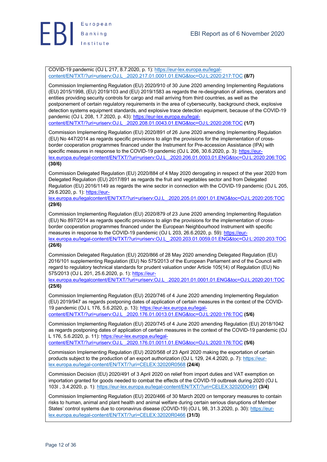

COVID-19 pandemic (OJ L 217, 8.7.2020, p. 1): https://eur-lex.europa.eu/legalcontent/EN/TXT/?uri=uriserv:OJ.L\_.2020.217.01.0001.01.ENG&toc=OJ:L:2020:217:TOC **(8/7)**

Commission Implementing Regulation (EU) 2020/910 of 30 June 2020 amending Implementing Regulations (EU) 2015/1998, (EU) 2019/103 and (EU) 2019/1583 as regards the re-designation of airlines, operators and entities providing security controls for cargo and mail arriving from third countries, as well as the postponement of certain regulatory requirements in the area of cybersecurity, background check, explosive detection systems equipment standards, and explosive trace detection equipment, because of the COVID-19 pandemic (OJ L 208, 1.7.2020, p. 43): https://eur-lex.europa.eu/legalcontent/EN/TXT/?uri=uriserv:OJ.L\_.2020.208.01.0043.01.ENG&toc=OJ:L:2020:208:TOC **(1/7)**

Commission Implementing Regulation (EU) 2020/891 of 26 June 2020 amending Implementing Regulation (EU) No 447/2014 as regards specific provisions to align the provisions for the implementation of crossborder cooperation programmes financed under the Instrument for Pre-accession Assistance (IPA) with specific measures in response to the COVID-19 pandemic (OJ L 206, 30.6.2020, p. 3): https://eurlex.europa.eu/legal-content/EN/TXT/?uri=uriserv:OJ.L\_.2020.206.01.0003.01.ENG&toc=OJ:L:2020:206:TOC **(30/6)**

Commission Delegated Regulation (EU) 2020/884 of 4 May 2020 derogating in respect of the year 2020 from Delegated Regulation (EU) 2017/891 as regards the fruit and vegetables sector and from Delegated Regulation (EU) 2016/1149 as regards the wine sector in connection with the COVID-19 pandemic (OJ L 205, 29.6.2020, p. 1): https://eur-

lex.europa.eu/legalcontent/EN/TXT/?uri=uriserv:OJ.L\_.2020.205.01.0001.01.ENG&toc=OJ:L:2020:205:TOC **(29/6)**

Commission Implementing Regulation (EU) 2020/879 of 23 June 2020 amending Implementing Regulation (EU) No 897/2014 as regards specific provisions to align the provisions for the implementation of crossborder cooperation programmes financed under the European Neighbourhood Instrument with specific measures in response to the COVID-19 pandemic (OJ L 203, 26.6.2020, p. 59): https://eurlex.europa.eu/legal-content/EN/TXT/?uri=uriserv:OJ.L\_.2020.203.01.0059.01.ENG&toc=OJ:L:2020:203:TOC

**(26/6)**

Commission Delegated Regulation (EU) 2020/866 of 28 May 2020 amending Delegated Regulation (EU) 2016/101 supplementing Regulation (EU) No 575/2013 of the European Parliament and of the Council with regard to regulatory technical standards for prudent valuation under Article 105(14) of Regulation (EU) No 575/2013 (OJ L 201, 25.6.2020, p. 1): https://eur-

lex.europa.eu/legalcontent/EN/TXT/?uri=uriserv:OJ.L\_.2020.201.01.0001.01.ENG&toc=OJ:L:2020:201:TOC **(25/6)**

Commission Implementing Regulation (EU) 2020/746 of 4 June 2020 amending Implementing Regulation (EU) 2019/947 as regards postponing dates of application of certain measures in the context of the COVID-19 pandemic (OJ L 176, 5.6.2020, p. 13): https://eur-lex.europa.eu/legalcontent/EN/TXT/?uri=uriserv:OJ.L\_.2020.176.01.0013.01.ENG&toc=OJ:L:2020:176:TOC **(5/6)**

Commission Implementing Regulation (EU) 2020/745 of 4 June 2020 amending Regulation (EU) 2018/1042 as regards postponing dates of application of certain measures in the context of the COVID-19 pandemic (OJ L 176, 5.6.2020, p. 11): https://eur-lex.europa.eu/legal-

content/EN/TXT/?uri=uriserv:OJ.L\_.2020.176.01.0011.01.ENG&toc=OJ:L:2020:176:TOC **(5/6)**

Commission Implementing Regulation (EU) 2020/568 of 23 April 2020 making the exportation of certain products subject to the production of an export authorization (OJ L 129, 24.4.2020, p. 7): https://eurlex.europa.eu/legal-content/EN/TXT/?uri=CELEX:32020R0568 **(24/4)**

Commission Decision (EU) 2020/491 of 3 April 2020 on relief from import duties and VAT exemption on importation granted for goods needed to combat the effects of the COVID-19 outbreak during 2020 (OJ L 103I , 3.4.2020, p. 1): https://eur-lex.europa.eu/legal-content/EN/TXT/?uri=CELEX:32020D0491 **(3/4)**

Commission Implementing Regulation (EU) 2020/466 of 30 March 2020 on temporary measures to contain risks to human, animal and plant health and animal welfare during certain serious disruptions of Member States' control systems due to coronavirus disease (COVID-19) (OJ L 98, 31.3.2020, p. 30): https://eurlex.europa.eu/legal-content/EN/TXT/?uri=CELEX:32020R0466 **(31/3)**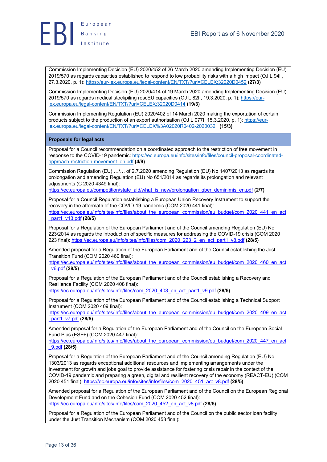



Commission Implementing Decision (EU) 2020/452 of 26 March 2020 amending Implementing Decision (EU) 2019/570 as regards capacities established to respond to low probability risks with a high impact (OJ L 94I , 27.3.2020, p. 1): https://eur-lex.europa.eu/legal-content/EN/TXT/?uri=CELEX:32020D0452 **(27/3)**

Commission Implementing Decision (EU) 2020/414 of 19 March 2020 amending Implementing Decision (EU) 2019/570 as regards medical stockpiling rescEU capacities (OJ L 82I, 19.3.2020, p. 1): https://eurlex.europa.eu/legal-content/EN/TXT/?uri=CELEX:32020D0414 **(19/3)**

Commission Implementing Regulation (EU) 2020/402 of 14 March 2020 making the exportation of certain products subject to the production of an export authorisation (OJ L 077I, 15.3.2020, p. 1): https://eurlex.europa.eu/legal-content/EN/TXT/?uri=CELEX%3A02020R0402-20200321 **(15/3)**

### **Proposals for legal acts**

Proposal for a Council recommendation on a coordinated approach to the restriction of free movement in response to the COVID-19 pandemic: https://ec.europa.eu/info/sites/info/files/council-proposal-coordinatedapproach-restriction-movement\_en.pdf **(4/9)**

Commission Regulation (EU) …/… of 2.7.2020 amending Regulation (EU) No 1407/2013 as regards its prolongation and amending Regulation (EU) No 651/2014 as regards its prolongation and relevant adjustments (C 2020 4349 final):

https://ec.europa.eu/competition/state\_aid/what\_is\_new/prolongation\_gber\_deminimis\_en.pdf **(2/7)**

Proposal for a Council Regulation establishing a European Union Recovery Instrument to support the recovery in the aftermath of the COVID-19 pandemic (COM 2020 441 final): https://ec.europa.eu/info/sites/info/files/about\_the\_european\_commission/eu\_budget/com\_2020\_441\_en\_act \_part1\_v13.pdf **(28/5)**

Proposal for a Regulation of the European Parliament and of the Council amending Regulation (EU) No 223/2014 as regards the introduction of specific measures for addressing the COVID-19 crisis (COM 2020 223 final): https://ec.europa.eu/info/sites/info/files/com\_2020\_223\_2\_en\_act\_part1\_v8.pdf **(28/5)**

Amended proposal for a Regulation of the European Parliament and of the Council establishing the Just Transition Fund (COM 2020 460 final):

https://ec.europa.eu/info/sites/info/files/about\_the\_european\_commission/eu\_budget/com\_2020\_460\_en\_act \_v6.pdf **(28/5)**

Proposal for a Regulation of the European Parliament and of the Council establishing a Recovery and Resilience Facility (COM 2020 408 final):

https://ec.europa.eu/info/sites/info/files/com\_2020\_408\_en\_act\_part1\_v9.pdf **(28/5)**

Proposal for a Regulation of the European Parliament and of the Council establishing a Technical Support Instrument (COM 2020 409 final):

https://ec.europa.eu/info/sites/info/files/about\_the\_european\_commission/eu\_budget/com\_2020\_409\_en\_act \_part1\_v7.pdf **(28/5)**

Amended proposal for a Regulation of the European Parliament and of the Council on the European Social Fund Plus (ESF+) (COM 2020 447 final):

https://ec.europa.eu/info/sites/info/files/about\_the\_european\_commission/eu\_budget/com\_2020\_447\_en\_act \_9.pdf **(28/5)**

Proposal for a Regulation of the European Parliament and of the Council amending Regulation (EU) No 1303/2013 as regards exceptional additional resources and implementing arrangements under the Investment for growth and jobs goal to provide assistance for fostering crisis repair in the context of the COVID-19 pandemic and preparing a green, digital and resilient recovery of the economy (REACT-EU) (COM 2020 451 final): https://ec.europa.eu/info/sites/info/files/com\_2020\_451\_act\_v8.pdf **(28/5)**

Amended proposal for a Regulation of the European Parliament and of the Council on the European Regional Development Fund and on the Cohesion Fund (COM 2020 452 final): https://ec.europa.eu/info/sites/info/files/com\_2020\_452\_en\_act\_v8.pdf **(28/5)**

Proposal for a Regulation of the European Parliament and of the Council on the public sector loan facility under the Just Transition Mechanism (COM 2020 453 final):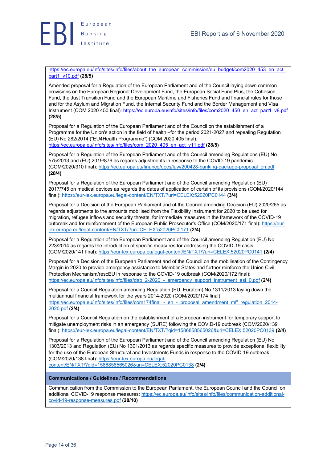

https://ec.europa.eu/info/sites/info/files/about\_the\_european\_commission/eu\_budget/com2020\_453\_en\_act part1\_v10.pdf **(28/5)**

Amended proposal for a Regulation of the European Parliament and of the Council laying down common provisions on the European Regional Development Fund, the European Social Fund Plus, the Cohesion Fund, the Just Transition Fund and the European Maritime and Fisheries Fund and financial rules for those and for the Asylum and Migration Fund, the Internal Security Fund and the Border Management and Visa Instrument (COM 2020 450 final): https://ec.europa.eu/info/sites/info/files/com2020\_450\_en\_act\_part1\_v8.pdf **(28/5)**

Proposal for a Regulation of the European Parliament and of the Council on the establishment of a Programme for the Union's action in the field of health –for the period 2021-2027 and repealing Regulation (EU) No 282/2014 ("EU4Health Programme") (COM 2020 405 final): https://ec.europa.eu/info/sites/info/files/com\_2020\_405\_en\_act\_v11.pdf **(28/5)**

Proposal for a Regulation of the European Parliament and of the Council amending Regulations (EU) No 575/2013 and (EU) 2019/876 as regards adjustments in response to the COVID-19 pandemic (COM/2020/310 final): https://ec.europa.eu/finance/docs/law/200428-banking-package-proposal\_en.pdf **(28/4)**

Proposal for a Regulation of the European Parliament and of the Council amending Regulation (EU) 2017/745 on medical devices as regards the dates of application of certain of its provisions (COM/2020/144 final): https://eur-lex.europa.eu/legal-content/EN/TXT/?uri=CELEX:52020PC0144 **(3/4)**

Proposal for a Decision of the European Parliament and of the Council amending Decision (EU) 2020/265 as regards adjustments to the amounts mobilised from the Flexibility Instrument for 2020 to be used for migration, refugee inflows and security threats, for immediate measures in the framework of the COVID-19 outbreak and for reinforcement of the European Public Prosecutor's Office (COM/2020/171 final): https://eurlex.europa.eu/legal-content/EN/TXT/?uri=CELEX:52020PC0171 **(2/4)**

Proposal for a Regulation of the European Parliament and of the Council amending Regulation (EU) No 223/2014 as regards the introduction of specific measures for addressing the COVID-19 crisis (COM/2020/141 final): https://eur-lex.europa.eu/legal-content/EN/TXT/?uri=CELEX:52020PC0141 **(2/4)**

Proposal for a Decision of the European Parliament and of the Council on the mobilisation of the Contingency Margin in 2020 to provide emergency assistance to Member States and further reinforce the Union Civil Protection Mechanism/rescEU in response to the COVID-19 outbreak (COM/2020/172 final): https://ec.europa.eu/info/sites/info/files/dab\_2-2020\_-\_emergency\_support\_instrument\_esi\_0.pdf **(2/4)**

Proposal for a Council Regulation amending Regulation (EU, Euratom) No 1311/2013 laying down the multiannual financial framework for the years 2014-2020 (COM/2020/174 final): https://ec.europa.eu/info/sites/info/files/com174final - en - proposal amendment mff regulation 2014-2020.pdf **(2/4)**

Proposal for a Council Regulation on the establishment of a European instrument for temporary support to mitigate unemployment risks in an emergency (SURE) following the COVID-19 outbreak (COM/2020/139 final): https://eur-lex.europa.eu/legal-content/EN/TXT/?qid=1586858565026&uri=CELEX:52020PC0139 **(2/4)**

Proposal for a Regulation of the European Parliament and of the Council amending Regulation (EU) No 1303/2013 and Regulation (EU) No 1301/2013 as regards specific measures to provide exceptional flexibility for the use of the European Structural and Investments Funds in response to the COVID-19 outbreak (COM/2020/138 final): https://eur-lex.europa.eu/legal-

content/EN/TXT/?qid=1586858565026&uri=CELEX:52020PC0138 **(2/4)**

### **Communications / Guidelines / Recommendations**

Communication from the Commission to the European Parliament, the European Council and the Council on additional COVID-19 response measures: https://ec.europa.eu/info/sites/info/files/communication-additionalcovid-19-response-measures.pdf **(28/10)**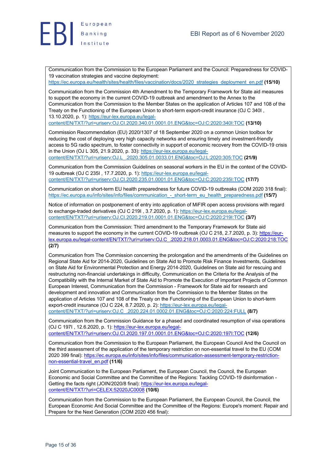

Communication from the Commission to the European Parliament and the Council: Preparedness for COVID-19 vaccination strategies and vaccine deployment:

https://ec.europa.eu/health/sites/health/files/vaccination/docs/2020\_strategies\_deployment\_en.pdf **(15/10)**

Communication from the Commission 4th Amendment to the Temporary Framework for State aid measures to support the economy in the current COVID-19 outbreak and amendment to the Annex to the Communication from the Commission to the Member States on the application of Articles 107 and 108 of the Treaty on the Functioning of the European Union to short-term export-credit insurance (OJ C 340I , 13.10.2020, p. 1): https://eur-lex.europa.eu/legal-

content/EN/TXT/?uri=uriserv:OJ.CI.2020.340.01.0001.01.ENG&toc=OJ:C:2020:340I:TOC **(13/10)**

Commission Recommendation (EU) 2020/1307 of 18 September 2020 on a common Union toolbox for reducing the cost of deploying very high capacity networks and ensuring timely and investment-friendly access to 5G radio spectrum, to foster connectivity in support of economic recovery from the COVID-19 crisis in the Union (OJ L 305, 21.9.2020, p. 33): https://eur-lex.europa.eu/legal-

content/EN/TXT/?uri=uriserv:OJ.L\_.2020.305.01.0033.01.ENG&toc=OJ:L:2020:305:TOC **(21/9)**

Communication from the Commission Guidelines on seasonal workers in the EU in the context of the COVID-19 outbreak (OJ C 235I , 17.7.2020, p. 1): https://eur-lex.europa.eu/legalcontent/EN/TXT/?uri=uriserv:OJ.CI.2020.235.01.0001.01.ENG&toc=OJ:C:2020:235I:TOC **(17/7)**

Communication on short-term EU health preparedness for future COVID-19 outbreaks (COM 2020 318 final): https://ec.europa.eu/info/sites/info/files/communication\_-\_short-term\_eu\_health\_preparedness.pdf **(15/7)**

Notice of information on postponement of entry into application of MiFIR open access provisions with regard to exchange-traded derivatives (OJ C 219I , 3.7.2020, p. 1): https://eur-lex.europa.eu/legalcontent/EN/TXT/?uri=uriserv:OJ.CI.2020.219.01.0001.01.ENG&toc=OJ:C:2020:219I:TOC **(3/7)**

Communication from the Commission: Third amendment to the Temporary Framework for State aid measures to support the economy in the current COVID-19 outbreak (OJ C 218, 2.7.2020, p. 3): https://eurlex.europa.eu/legal-content/EN/TXT/?uri=uriserv:OJ.C\_.2020.218.01.0003.01.ENG&toc=OJ:C:2020:218:TOC **(2/7)**

Communication from The Commission concerning the prolongation and the amendments of the Guidelines on Regional State Aid for 2014-2020, Guidelines on State Aid to Promote Risk Finance Investments, Guidelines on State Aid for Environmental Protection and Energy 2014-2020, Guidelines on State aid for rescuing and restructuring non-financial undertakings in difficulty, Communication on the Criteria for the Analysis of the Compatibility with the Internal Market of State Aid to Promote the Execution of Important Projects of Common European Interest, Communication from the Commission - Framework for State aid for research and development and innovation and Communication from the Commission to the Member States on the application of Articles 107 and 108 of the Treaty on the Functioning of the European Union to short-term export-credit insurance (OJ C 224, 8.7.2020, p. 2): https://eur-lex.europa.eu/legalcontent/EN/TXT/?uri=uriserv:OJ.C\_.2020.224.01.0002.01.ENG&toc=OJ:C:2020:224:FULL **(8/7)**

Communication from the Commission Guidance for a phased and coordinated resumption of visa operations (OJ C 197I , 12.6.2020, p. 1): https://eur-lex.europa.eu/legal-

content/EN/TXT/?uri=uriserv:OJ.CI.2020.197.01.0001.01.ENG&toc=OJ:C:2020:197I:TOC **(12/6)**

Communication from the Commission to the European Parliament, the European Council And the Council on the third assessment of the application of the temporary restriction on non-essential travel to the EU (COM 2020 399 final): https://ec.europa.eu/info/sites/info/files/communication-assessment-temporary-restrictionnon-essential-travel\_en.pdf **(11/6)**

Joint Communication to the European Parliament, the European Council, the Council, the European Economic and Social Committee and the Committee of the Regions: Tackling COVID-19 disinformation - Getting the facts right (JOIN/2020/8 final): https://eur-lex.europa.eu/legalcontent/EN/TXT/?uri=CELEX:52020JC0008 **(10/6)**

Communication from the Commission to the European Parliament, the European Council, the Council, the European Economic And Social Committee and the Committee of the Regions: Europe's moment: Repair and Prepare for the Next Generation (COM 2020 456 final):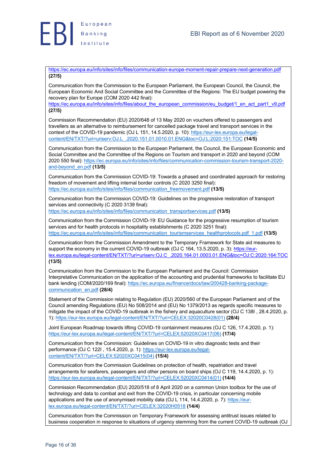

https://ec.europa.eu/info/sites/info/files/communication-europe-moment-repair-prepare-next-generation.pdf **(27/5)**

Communication from the Commission to the European Parliament, the European Council, the Council, the European Economic And Social Committee and the Committee of the Regions: The EU budget powering the recovery plan for Europe (COM 2020 442 final):

https://ec.europa.eu/info/sites/info/files/about\_the\_european\_commission/eu\_budget/1\_en\_act\_part1\_v9.pdf **(27/5)**

Commission Recommendation (EU) 2020/648 of 13 May 2020 on vouchers offered to passengers and travellers as an alternative to reimbursement for cancelled package travel and transport services in the context of the COVID-19 pandemic (OJ L 151, 14.5.2020, p. 10): https://eur-lex.europa.eu/legalcontent/EN/TXT/?uri=uriserv:OJ.L\_.2020.151.01.0010.01.ENG&toc=OJ:L:2020:151:TOC **(14/5)**

Communication from the Commission to the European Parliament, the Council, the European Economic and Social Committee and the Committee of the Regions on Tourism and transport in 2020 and beyond (COM 2020 550 final): https://ec.europa.eu/info/sites/info/files/communication-commission-tourism-transport-2020 and-beyond\_en.pdf **(13/5)**

Communication from the Commission COVID-19: Towards a phased and coordinated approach for restoring freedom of movement and lifting internal border controls (C 2020 3250 final): https://ec.europa.eu/info/sites/info/files/communication\_freemovement.pdf **(13/5)**

Communication from the Commission COVID-19: Guidelines on the progressive restoration of transport services and connectivity (C 2020 3139 final):

https://ec.europa.eu/info/sites/info/files/communication\_transportservices.pdf **(13/5)**

Communication from the Commission COVID-19: EU Guidance for the progressive resumption of tourism services and for health protocols in hospitality establishments (C 2020 3251 final): https://ec.europa.eu/info/sites/info/files/communication\_tourismservices\_healthprotocols.pdf\_1.pdf **(13/5)**

Communication from the Commission Amendment to the Temporary Framework for State aid measures to support the economy in the current COVID-19 outbreak (OJ C 164, 13.5.2020, p. 3): https://eurlex.europa.eu/legal-content/EN/TXT/?uri=uriserv:OJ.C\_.2020.164.01.0003.01.ENG&toc=OJ:C:2020:164:TOC **(13/5)**

Communication from the Commission to the European Parliament and the Council: Commission Interpretative Communication on the application of the accounting and prudential frameworks to facilitate EU bank lending (COM/2020/169 final): https://ec.europa.eu/finance/docs/law/200428-banking-packagecommunication\_en.pdf **(28/4)**

Statement of the Commission relating to Regulation (EU) 2020/560 of the European Parliament and of the Council amending Regulations (EU) No 508/2014 and (EU) No 1379/2013 as regards specific measures to mitigate the impact of the COVID-19 outbreak in the fishery and aquaculture sector (OJ C 138I , 28.4.2020, p. 1): https://eur-lex.europa.eu/legal-content/EN/TXT/?uri=CELEX:32020C0428(01) **(28/4)**

Joint European Roadmap towards lifting COVID-19 containment measures (OJ C 126, 17.4.2020, p. 1): https://eur-lex.europa.eu/legal-content/EN/TXT/?uri=CELEX:52020XC0417(06) **(17/4)**

Communication from the Commission: Guidelines on COVID-19 in vitro diagnostic tests and their performance (OJ C 122I , 15.4.2020, p. 1): https://eur-lex.europa.eu/legalcontent/EN/TXT/?uri=CELEX:52020XC0415(04) **(15/4)**

Communication from the Commission Guidelines on protection of health, repatriation and travel arrangements for seafarers, passengers and other persons on board ships (OJ C 119, 14.4.2020, p. 1): https://eur-lex.europa.eu/legal-content/EN/TXT/?uri=CELEX:52020XC0414(01) **(14/4)**

Commission Recommendation (EU) 2020/518 of 8 April 2020 on a common Union toolbox for the use of technology and data to combat and exit from the COVID-19 crisis, in particular concerning mobile applications and the use of anonymised mobility data (OJ L 114, 14.4.2020, p. 7): https://eurlex.europa.eu/legal-content/EN/TXT/?uri=CELEX:32020H0518 **(14/4)**

Communication from the Commission on Temporary Framework for assessing antitrust issues related to business cooperation in response to situations of urgency stemming from the current COVID-19 outbreak (OJ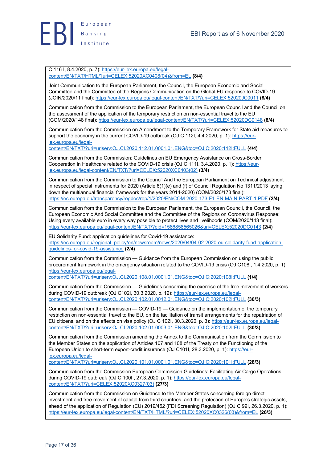

C 116 I, 8.4.2020, p. 7): https://eur-lex.europa.eu/legalcontent/EN/TXT/HTML/?uri=CELEX:52020XC0408(04)&from=EL **(8/4)**

Joint Communication to the European Parliament, the Council, the European Economic and Social Committee and the Committee of the Regions Communication on the Global EU response to COVID-19 (JOIN/2020/11 final): https://eur-lex.europa.eu/legal-content/EN/TXT/?uri=CELEX:52020JC0011 **(8/4)**

Communication from the Commission to the European Parliament, the European Council and the Council on the assessment of the application of the temporary restriction on non-essential travel to the EU (COM/2020/148 final): https://eur-lex.europa.eu/legal-content/EN/TXT/?uri=CELEX:52020DC0148 **(8/4)**

Communication from the Commission on Amendment to the Temporary Framework for State aid measures to support the economy in the current COVID-19 outbreak (OJ C 112I, 4.4.2020, p. 1): https://eurlex.europa.eu/legal-

content/EN/TXT/?uri=uriserv:OJ.CI.2020.112.01.0001.01.ENG&toc=OJ:C:2020:112I:FULL **(4/4)**

Communication from the Commission: Guidelines on EU Emergency Assistance on Cross-Border Cooperation in Healthcare related to the COVID-19 crisis (OJ C 111I, 3.4.2020, p. 1): https://eurlex.europa.eu/legal-content/EN/TXT/?uri=CELEX:52020XC0403(02) **(3/4)**

Communication from the Commission to the Council And the European Parliament on Technical adjustment in respect of special instruments for 2020 (Article 6(1)(e) and (f) of Council Regulation No 1311/2013 laying down the multiannual financial framework for the years 2014-2020) (COM/2020/173 final): https://ec.europa.eu/transparency/regdoc/rep/1/2020/EN/COM-2020-173-F1-EN-MAIN-PART-1.PDF **(2/4)**

Communication from the Commission to the European Parliament, the European Council, the Council, the European Economic And Social Committee and the Committee of the Regions on Coronavirus Response: Using every available euro in every way possible to protect lives and livelihoods (COM/2020/143 final): https://eur-lex.europa.eu/legal-content/EN/TXT/?qid=1586858565026&uri=CELEX:52020DC0143 **(2/4)**

EU Solidarity Fund: application guidelines for Covid-19 assistance: https://ec.europa.eu/regional\_policy/en/newsroom/news/2020/04/04-02-2020-eu-solidarity-fund-applicationguidelines-for-covid-19-assistance **(2/4)**

Communication from the Commission — Guidance from the European Commission on using the public procurement framework in the emergency situation related to the COVID-19 crisis (OJ C108I, 1.4.2020, p. 1): https://eur-lex.europa.eu/legal-

content/EN/TXT/?uri=uriserv:OJ.CI.2020.108.01.0001.01.ENG&toc=OJ:C:2020:108I:FULL **(1/4)**

Communication from the Commission — Guidelines concerning the exercise of the free movement of workers during COVID-19 outbreak (OJ C102I, 30.3.2020, p. 12): https://eur-lex.europa.eu/legalcontent/EN/TXT/?uri=uriserv:OJ.CI.2020.102.01.0012.01.ENG&toc=OJ:C:2020:102I:FULL **(30/3)**

Communication from the Commission — COVID-19 — Guidance on the implementation of the temporary restriction on non-essential travel to the EU, on the facilitation of transit arrangements for the repatriation of EU citizens, and on the effects on visa policy (OJ C 102I, 30.3.2020, p. 3): https://eur-lex.europa.eu/legalcontent/EN/TXT/?uri=uriserv:OJ.CI.2020.102.01.0003.01.ENG&toc=OJ:C:2020:102I:FULL **(30/3)**

Communication from the Commission amending the Annex to the Communication from the Commission to the Member States on the application of Articles 107 and 108 of the Treaty on the Functioning of the European Union to short-term export-credit insurance (OJ C101I, 28.3.2020, p. 1): https://eurlex.europa.eu/legal-

content/EN/TXT/?uri=uriserv:OJ.CI.2020.101.01.0001.01.ENG&toc=OJ:C:2020:101I:FULL **(28/3)**

Communication from the Commission European Commission Guidelines: Facilitating Air Cargo Operations during COVID-19 outbreak (OJ C 100I , 27.3.2020, p. 1): https://eur-lex.europa.eu/legalcontent/EN/TXT/?uri=CELEX:52020XC0327(03) **(27/3)**

Communication from the Commission on Guidance to the Member States concerning foreign direct investment and free movement of capital from third countries, and the protection of Europe's strategic assets, ahead of the application of Regulation (EU) 2019/452 (FDI Screening Regulation) (OJ C 99I, 26.3.2020, p. 1): https://eur-lex.europa.eu/legal-content/EN/TXT/HTML/?uri=CELEX:52020XC0326(03)&from=EL **(26/3)**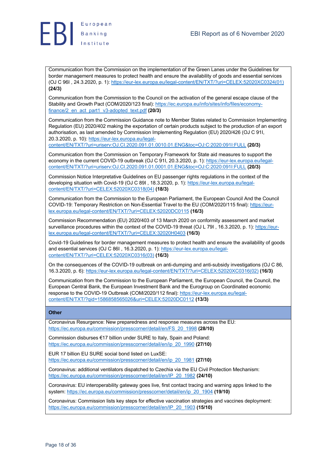

Communication from the Commission on the implementation of the Green Lanes under the Guidelines for border management measures to protect health and ensure the availability of goods and essential services (OJ C 96I , 24.3.2020, p. 1): https://eur-lex.europa.eu/legal-content/EN/TXT/?uri=CELEX:52020XC0324(01) **(24/3)**

Communication from the Commission to the Council on the activation of the general escape clause of the Stability and Growth Pact (COM/2020/123 final): https://ec.europa.eu/info/sites/info/files/economyfinance/2\_en\_act\_part1\_v3-adopted\_text.pdf **(20/3)**

Communication from the Commission Guidance note to Member States related to Commission Implementing Regulation (EU) 2020/402 making the exportation of certain products subject to the production of an export authorisation, as last amended by Commission Implementing Regulation (EU) 2020/426 (OJ C 91I, 20.3.2020, p. 10): https://eur-lex.europa.eu/legal-

content/EN/TXT/?uri=uriserv:OJ.CI.2020.091.01.0010.01.ENG&toc=OJ:C:2020:091I:FULL **(20/3)**

Communication from the Commission on Temporary Framework for State aid measures to support the economy in the current COVID-19 outbreak (OJ C 91I, 20.3.2020, p. 1): https://eur-lex.europa.eu/legalcontent/EN/TXT/?uri=uriserv:OJ.CI.2020.091.01.0001.01.ENG&toc=OJ:C:2020:091I:FULL **(20/3)**

Commission Notice Interpretative Guidelines on EU passenger rights regulations in the context of the developing situation with Covid-19 (OJ C 89I, 18.3.2020, p. 1): https://eur-lex.europa.eu/legalcontent/EN/TXT/?uri=CELEX:52020XC0318(04) **(18/3)**

Communication from the Commission to the European Parliament, the European Council And the Council COVID-19: Temporary Restriction on Non-Essential Travel to the EU (COM/2020/115 final): https://eurlex.europa.eu/legal-content/EN/TXT/?uri=CELEX:52020DC0115 **(16/3)**

Commission Recommendation (EU) 2020/403 of 13 March 2020 on conformity assessment and market surveillance procedures within the context of the COVID-19 threat (OJ L 79I, 16.3.2020, p. 1): https://eurlex.europa.eu/legal-content/EN/TXT/?uri=CELEX:32020H0403 **(16/3)**

Covid-19 Guidelines for border management measures to protect health and ensure the availability of goods and essential services (OJ C 86I , 16.3.2020, p. 1): https://eur-lex.europa.eu/legalcontent/EN/TXT/?uri=CELEX:52020XC0316(03) **(16/3)**

On the consequences of the COVID-19 outbreak on anti-dumping and anti-subsidy investigations (OJ C 86, 16.3.2020, p. 6): https://eur-lex.europa.eu/legal-content/EN/TXT/?uri=CELEX:52020XC0316(02) **(16/3)**

Communication from the Commission to the European Parliament, the European Council, the Council, the European Central Bank, the European Investment Bank and the Eurogroup on Coordinated economic response to the COVID-19 Outbreak (COM/2020/112 final): https://eur-lex.europa.eu/legalcontent/EN/TXT/?qid=1586858565026&uri=CELEX:52020DC0112 **(13/3)**

### **Other**

Coronavirus Resurgence: New preparedness and response measures across the EU: https://ec.europa.eu/commission/presscorner/detail/en/FS\_20\_1998 **(28/10)**

Commission disburses €17 billion under SURE to Italy, Spain and Poland: https://ec.europa.eu/commission/presscorner/detail/en/ip\_20\_1990 **(27/10)**

EUR 17 billion EU SURE social bond listed on LuxSE: https://ec.europa.eu/commission/presscorner/detail/en/ip\_20\_1981 **(27/10)**

Coronavirus: additional ventilators dispatched to Czechia via the EU Civil Protection Mechanism: https://ec.europa.eu/commission/presscorner/detail/en/IP\_20\_1982 **(24/10)**

Coronavirus: EU interoperability gateway goes live, first contact tracing and warning apps linked to the system: https://ec.europa.eu/commission/presscorner/detail/en/ip\_20\_1904 **(19/10)**

Coronavirus: Commission lists key steps for effective vaccination strategies and vaccines deployment: https://ec.europa.eu/commission/presscorner/detail/en/IP\_20\_1903 **(15/10)**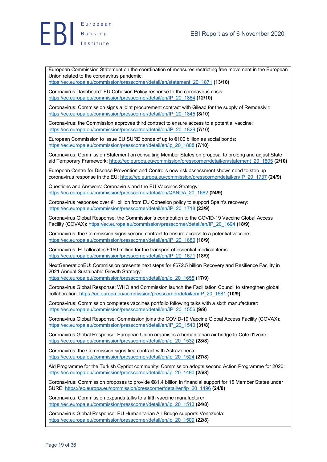



European Commission Statement on the coordination of measures restricting free movement in the European Union related to the coronavirus pandemic:

https://ec.europa.eu/commission/presscorner/detail/en/statement\_20\_1871 **(13/10)**

Coronavirus Dashboard: EU Cohesion Policy response to the coronavirus crisis: https://ec.europa.eu/commission/presscorner/detail/en/IP\_20\_1864 **(12/10)**

Coronavirus: Commission signs a joint procurement contract with Gilead for the supply of Remdesivir: https://ec.europa.eu/commission/presscorner/detail/en/IP\_20\_1845 **(8/10)**

Coronavirus: the Commission approves third contract to ensure access to a potential vaccine: https://ec.europa.eu/commission/presscorner/detail/en/IP\_20\_1829 **(7/10)**

European Commission to issue EU SURE bonds of up to €100 billion as social bonds: https://ec.europa.eu/commission/presscorner/detail/en/ip\_20\_1808 **(7/10)**

Coronavirus: Commission Statement on consulting Member States on proposal to prolong and adjust State aid Temporary Framework: https://ec.europa.eu/commission/presscorner/detail/en/statement\_20\_1805 **(2/10)**

European Centre for Disease Prevention and Control's new risk assessment shows need to step up coronavirus response in the EU: https://ec.europa.eu/commission/presscorner/detail/en/IP\_20\_1737 **(24/9)**

Questions and Answers: Coronavirus and the EU Vaccines Strategy: https://ec.europa.eu/commission/presscorner/detail/en/QANDA\_20\_1662 **(24/9)**

Coronavirus response: over €1 billion from EU Cohesion policy to support Spain's recovery: https://ec.europa.eu/commission/presscorner/detail/en/IP\_20\_1718 **(23/9)**

Coronavirus Global Response: the Commission's contribution to the COVID-19 Vaccine Global Access Facility (COVAX): https://ec.europa.eu/commission/presscorner/detail/en/IP\_20\_1694 **(18/9)**

Coronavirus: the Commission signs second contract to ensure access to a potential vaccine: https://ec.europa.eu/commission/presscorner/detail/en/IP\_20\_1680 **(18/9)**

Coronavirus: EU allocates €150 million for the transport of essential medical items: https://ec.europa.eu/commission/presscorner/detail/en/IP\_20\_1671 **(18/9)**

NextGenerationEU: Commission presents next steps for €672.5 billion Recovery and Resilience Facility in 2021 Annual Sustainable Growth Strategy:

https://ec.europa.eu/commission/presscorner/detail/en/ip\_20\_1658 **(17/9)**

Coronavirus Global Response: WHO and Commission launch the Facilitation Council to strengthen global collaboration: https://ec.europa.eu/commission/presscorner/detail/en/IP\_20\_1581 **(10/9)**

Coronavirus: Commission completes vaccines portfolio following talks with a sixth manufacturer: https://ec.europa.eu/commission/presscorner/detail/en/IP\_20\_1556 **(9/9)**

Coronavirus Global Response: Commission joins the COVID-19 Vaccine Global Access Facility (COVAX): https://ec.europa.eu/commission/presscorner/detail/en/IP\_20\_1540 **(31/8)**

Coronavirus Global Response: European Union organises a humanitarian air bridge to Côte d'Ivoire: https://ec.europa.eu/commission/presscorner/detail/en/ip\_20\_1532 **(28/8)**

Coronavirus: the Commission signs first contract with AstraZeneca: https://ec.europa.eu/commission/presscorner/detail/en/ip\_20\_1524 **(27/8)**

Aid Programme for the Turkish Cypriot community: Commission adopts second Action Programme for 2020: https://ec.europa.eu/commission/presscorner/detail/en/ip\_20\_1490 **(25/8)**

Coronavirus: Commission proposes to provide €81.4 billion in financial support for 15 Member States under SURE: https://ec.europa.eu/commission/presscorner/detail/en/ip\_20\_1496 **(24/8)**

Coronavirus: Commission expands talks to a fifth vaccine manufacturer: https://ec.europa.eu/commission/presscorner/detail/en/ip\_20\_1513 **(24/8)**

Coronavirus Global Response: EU Humanitarian Air Bridge supports Venezuela: https://ec.europa.eu/commission/presscorner/detail/en/ip\_20\_1509 **(22/8)**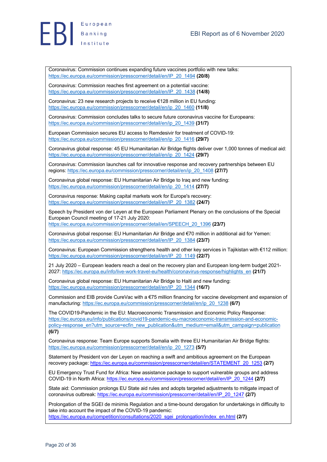



Coronavirus: Commission continues expanding future vaccines portfolio with new talks: https://ec.europa.eu/commission/presscorner/detail/en/IP\_20\_1494 **(20/8)**

Coronavirus: Commission reaches first agreement on a potential vaccine: https://ec.europa.eu/commission/presscorner/detail/en/IP\_20\_1438 **(14/8)**

Coronavirus: 23 new research projects to receive €128 million in EU funding: https://ec.europa.eu/commission/presscorner/detail/en/ip\_20\_1460 **(11/8)**

Coronavirus: Commission concludes talks to secure future coronavirus vaccine for Europeans: https://ec.europa.eu/commission/presscorner/detail/en/ip\_20\_1439 **(31/7)**

European Commission secures EU access to Remdesivir for treatment of COVID-19: https://ec.europa.eu/commission/presscorner/detail/en/ip\_20\_1416 **(29/7)**

Coronavirus global response: 45 EU Humanitarian Air Bridge flights deliver over 1,000 tonnes of medical aid: https://ec.europa.eu/commission/presscorner/detail/en/ip\_20\_1424 **(29/7)**

Coronavirus: Commission launches call for innovative response and recovery partnerships between EU regions: https://ec.europa.eu/commission/presscorner/detail/en/ip\_20\_1408 **(27/7)**

Coronavirus global response: EU Humanitarian Air Bridge to Iraq and new funding: https://ec.europa.eu/commission/presscorner/detail/en/ip\_20\_1414 **(27/7)**

Coronavirus response: Making capital markets work for Europe's recovery: https://ec.europa.eu/commission/presscorner/detail/en/IP\_20\_1382 **(24/7)**

Speech by President von der Leyen at the European Parliament Plenary on the conclusions of the Special European Council meeting of 17-21 July 2020: https://ec.europa.eu/commission/presscorner/detail/en/SPEECH\_20\_1396 **(23/7)**

Coronavirus global response: EU Humanitarian Air Bridge and €70 million in additional aid for Yemen: https://ec.europa.eu/commission/presscorner/detail/en/IP\_20\_1384 **(23/7)**

Coronavirus: European Commission strengthens health and other key services in Tajikistan with €112 million: https://ec.europa.eu/commission/presscorner/detail/en/IP\_20\_1149 **(22/7)**

21 July 2020 – European leaders reach a deal on the recovery plan and European long-term budget 2021- 2027: https://ec.europa.eu/info/live-work-travel-eu/health/coronavirus-response/highlights\_en **(21/7)**

Coronavirus global response: EU Humanitarian Air Bridge to Haiti and new funding: https://ec.europa.eu/commission/presscorner/detail/en/IP\_20\_1344 **(16/7)**

Commission and EIB provide CureVac with a €75 million financing for vaccine development and expansion of manufacturing: https://ec.europa.eu/commission/presscorner/detail/en/ip\_20\_1238 **(6/7)**

The COVID19-Pandemic in the EU: Macroeconomic Transmission and Economic Policy Response: https://ec.europa.eu/info/publications/covid19-pandemic-eu-macroeconomic-transmission-and-economicpolicy-response\_en?utm\_source=ecfin\_new\_publication&utm\_medium=email&utm\_campaign=publication **(6/7)**

Coronavirus response: Team Europe supports Somalia with three EU Humanitarian Air Bridge flights: https://ec.europa.eu/commission/presscorner/detail/en/ip\_20\_1273 **(5/7)**

Statement by President von der Leyen on reaching a swift and ambitious agreement on the European recovery package: https://ec.europa.eu/commission/presscorner/detail/en/STATEMENT\_20\_1253 **(2/7)**

EU Emergency Trust Fund for Africa: New assistance package to support vulnerable groups and address COVID-19 in North Africa: https://ec.europa.eu/commission/presscorner/detail/en/IP\_20\_1244 **(2/7)**

State aid: Commission prolongs EU State aid rules and adopts targeted adjustments to mitigate impact of coronavirus outbreak: https://ec.europa.eu/commission/presscorner/detail/en/IP\_20\_1247 **(2/7)**

Prolongation of the SGEI de minimis Regulation and a time-bound derogation for undertakings in difficulty to take into account the impact of the COVID-19 pandemic: https://ec.europa.eu/competition/consultations/2020\_sgei\_prolongation/index\_en.html **(2/7)**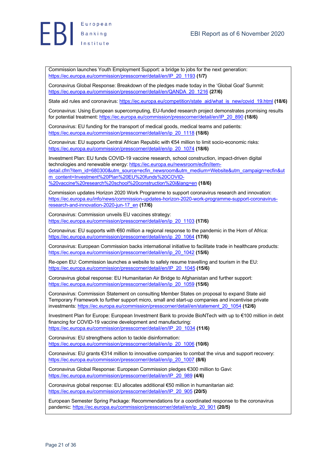



Commission launches Youth Employment Support: a bridge to jobs for the next generation: https://ec.europa.eu/commission/presscorner/detail/en/IP\_20\_1193 **(1/7)**

Coronavirus Global Response: Breakdown of the pledges made today in the 'Global Goal' Summit: https://ec.europa.eu/commission/presscorner/detail/en/QANDA\_20\_1216 **(27/6)**

State aid rules and coronavirus: https://ec.europa.eu/competition/state\_aid/what\_is\_new/covid\_19.html **(18/6)**

Coronavirus: Using European supercomputing, EU-funded research project demonstrates promising results for potential treatment: https://ec.europa.eu/commission/presscorner/detail/en/IP\_20\_890 **(18/6)**

Coronavirus: EU funding for the transport of medical goods, medical teams and patients: https://ec.europa.eu/commission/presscorner/detail/en/ip\_20\_1118 **(18/6)**

Coronavirus: EU supports Central African Republic with €54 million to limit socio-economic risks: https://ec.europa.eu/commission/presscorner/detail/en/ip\_20\_1074 **(18/6)**

Investment Plan: EU funds COVID-19 vaccine research, school construction, impact-driven digital technologies and renewable energy: https://ec.europa.eu/newsroom/ecfin/itemdetail.cfm?item\_id=680300&utm\_source=ecfin\_newsroom&utm\_medium=Website&utm\_campaign=ecfin&ut m\_content=Investment%20Plan%20EU%20funds%20COVID- %20vaccine%20research%20school%20construction%20i&lang=en **(18/6)**

Commission updates Horizon 2020 Work Programme to support coronavirus research and innovation: https://ec.europa.eu/info/news/commission-updates-horizon-2020-work-programme-support-coronavirusresearch-and-innovation-2020-jun-17\_en **(17/6)**

Coronavirus: Commission unveils EU vaccines strategy: https://ec.europa.eu/commission/presscorner/detail/en/ip\_20\_1103 **(17/6)**

Coronavirus: EU supports with €60 million a regional response to the pandemic in the Horn of Africa: https://ec.europa.eu/commission/presscorner/detail/en/ip\_20\_1064 **(17/6)**

Coronavirus: European Commission backs international initiative to facilitate trade in healthcare products: https://ec.europa.eu/commission/presscorner/detail/en/ip\_20\_1042 **(15/6)**

Re-open EU: Commission launches a website to safely resume travelling and tourism in the EU: https://ec.europa.eu/commission/presscorner/detail/en/IP\_20\_1045 **(15/6)**

Coronavirus global response: EU Humanitarian Air Bridge to Afghanistan and further support: https://ec.europa.eu/commission/presscorner/detail/en/ip\_20\_1059 **(15/6)**

Coronavirus: Commission Statement on consulting Member States on proposal to expand State aid Temporary Framework to further support micro, small and start-up companies and incentivise private investments: https://ec.europa.eu/commission/presscorner/detail/en/statement\_20\_1054 **(12/6)**

Investment Plan for Europe: European Investment Bank to provide BioNTech with up to €100 million in debt financing for COVID-19 vaccine development and manufacturing: https://ec.europa.eu/commission/presscorner/detail/en/IP\_20\_1034 **(11/6)**

Coronavirus: EU strengthens action to tackle disinformation: https://ec.europa.eu/commission/presscorner/detail/en/ip\_20\_1006 **(10/6)**

Coronavirus: EU grants €314 million to innovative companies to combat the virus and support recovery: https://ec.europa.eu/commission/presscorner/detail/en/ip\_20\_1007 **(8/6)**

Coronavirus Global Response: European Commission pledges €300 million to Gavi: https://ec.europa.eu/commission/presscorner/detail/en/IP\_20\_989 **(4/6)**

Coronavirus global response: EU allocates additional €50 million in humanitarian aid: https://ec.europa.eu/commission/presscorner/detail/en/IP\_20\_905 **(20/5)**

European Semester Spring Package: Recommendations for a coordinated response to the coronavirus pandemic: https://ec.europa.eu/commission/presscorner/detail/en/ip\_20\_901 **(20/5)**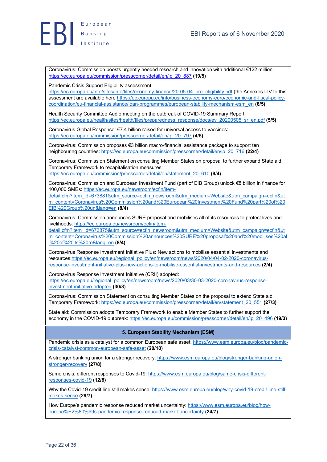# $E$   $B$   $\left| \begin{array}{c} \texttt{European} \\ \texttt{Banking} \\ \texttt{Institute} \end{array} \right|$ European

Coronavirus: Commission boosts urgently needed research and innovation with additional €122 million: https://ec.europa.eu/commission/presscorner/detail/en/ip\_20\_887 **(19/5)**

### Pandemic Crisis Support Eligibility assessment:

https://ec.europa.eu/info/sites/info/files/economy-finance/20-05-04\_pre\_eligibility.pdf (the Annexes I-IV to this assessment are available here https://ec.europa.eu/info/business-economy-euro/economic-and-fiscal-policycoordination/eu-financial-assistance/loan-programmes/european-stability-mechanism-esm\_en **(6/5)**

Health Security Committee Audio meeting on the outbreak of COVID-19 Summary Report: https://ec.europa.eu/health/sites/health/files/preparedness\_response/docs/ev\_20200505\_sr\_en.pdf **(5/5)**

Coronavirus Global Response: €7.4 billion raised for universal access to vaccines: https://ec.europa.eu/commission/presscorner/detail/en/ip\_20\_797 **(4/5)**

Coronavirus: Commission proposes €3 billion macro-financial assistance package to support ten neighbouring countries: https://ec.europa.eu/commission/presscorner/detail/en/ip\_20\_716 **(22/4)**

Coronavirus: Commission Statement on consulting Member States on proposal to further expand State aid Temporary Framework to recapitalisation measures: https://ec.europa.eu/commission/presscorner/detail/en/statement\_20\_610 **(9/4)**

Coronavirus: Commission and European Investment Fund (part of EIB Group) unlock €8 billion in finance for 100,000 SMEs: https://ec.europa.eu/newsroom/ecfin/item-

detail.cfm?item\_id=673881&utm\_source=ecfin\_newsroom&utm\_medium=Website&utm\_campaign=ecfin&ut m\_content=Coronavirus%20Commission%20and%20European%20Investment%20Fund%20part%20of%20 EIB%20Group%20un&lang=en **(8/4)**

Coronavirus: Commission announces SURE proposal and mobilises all of its resources to protect lives and livelihoods: https://ec.europa.eu/newsroom/ecfin/item-

detail.cfm?item\_id=673875&utm\_source=ecfin\_newsroom&utm\_medium=Website&utm\_campaign=ecfin&ut m\_content=Coronavirus%20Commission%20announces%20SURE%20proposal%20and%20mobilises%20al l%20of%20its%20re&lang=en **(8/4)**

Coronavirus Response Investment Initiative Plus: New actions to mobilise essential investments and resources:https://ec.europa.eu/regional\_policy/en/newsroom/news/2020/04/04-02-2020-coronavirusresponse-investment-initiative-plus-new-actions-to-mobilise-essential-investments-and-resources **(2/4)**

Coronavirus Response Investment Initiative (CRII) adopted: https://ec.europa.eu/regional\_policy/en/newsroom/news/2020/03/30-03-2020-coronavirus-responseinvestment-initiative-adopted **(30/3)**

Coronavirus: Commission Statement on consulting Member States on the proposal to extend State aid Temporary Framework: https://ec.europa.eu/commission/presscorner/detail/en/statement\_20\_551 **(27/3)**

State aid: Commission adopts Temporary Framework to enable Member States to further support the economy in the COVID-19 outbreak: https://ec.europa.eu/commission/presscorner/detail/en/ip\_20\_496 **(19/3)**

# **5. European Stability Mechanism (ESM)**

Pandemic crisis as a catalyst for a common European safe asset: https://www.esm.europa.eu/blog/pandemiccrisis-catalyst-common-european-safe-asset **(20/10)**

A stronger banking union for a stronger recovery: https://www.esm.europa.eu/blog/stronger-banking-unionstronger-recovery **(27/8)**

Same crisis, different responses to Covid-19: https://www.esm.europa.eu/blog/same-crisis-differentresponses-covid-19 **(12/8)**

Why the Covid-19 credit line still makes sense: https://www.esm.europa.eu/blog/why-covid-19-credit-line-stillmakes-sense **(29/7)**

How Europe's pandemic response reduced market uncertainty: https://www.esm.europa.eu/blog/howeurope%E2%80%99s-pandemic-response-reduced-market-uncertainty **(24/7)**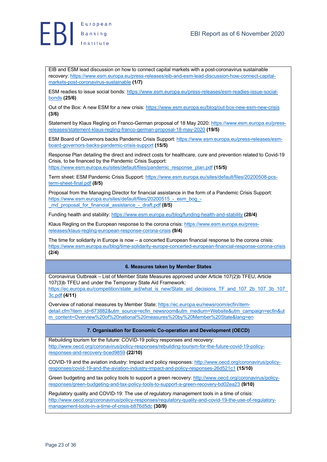

EIB and ESM lead discussion on how to connect capital markets with a post-coronavirus sustainable recovery: https://www.esm.europa.eu/press-releases/eib-and-esm-lead-discussion-how-connect-capitalmarkets-post-coronavirus-sustainable **(1/7)**

ESM readies to issue social bonds: https://www.esm.europa.eu/press-releases/esm-readies-issue-socialbonds **(25/6)**

Out of the Box: A new ESM for a new crisis: https://www.esm.europa.eu/blog/out-box-new-esm-new-crisis **(3/6)**

Statement by Klaus Regling on Franco-German proposal of 18 May 2020: https://www.esm.europa.eu/pressreleases/statement-klaus-regling-franco-german-proposal-18-may-2020 **(19/5)**

ESM Board of Governors backs Pandemic Crisis Support: https://www.esm.europa.eu/press-releases/esmboard-governors-backs-pandemic-crisis-support **(15/5)**

Response Plan detailing the direct and indirect costs for healthcare, cure and prevention related to Covid-19 Crisis, to be financed by the Pandemic Crisis Support: https://www.esm.europa.eu/sites/default/files/pandemic\_response\_plan.pdf **(15/5)**

Term sheet: ESM Pandemic Crisis Support: https://www.esm.europa.eu/sites/default/files/20200508-pcsterm-sheet-final.pdf **(8/5)**

Proposal from the Managing Director for financial assistance in the form of a Pandemic Crisis Support: https://www.esm.europa.eu/sites/default/files/20200515 - esm\_bog\_-\_md\_proposal\_for\_financial\_assistance\_-\_draft.pdf **(8/5)**

Funding health and stability: https://www.esm.europa.eu/blog/funding-health-and-stability **(28/4)**

Klaus Regling on the European response to the corona crisis: https://www.esm.europa.eu/pressreleases/klaus-regling-european-response-corona-crisis **(9/4)**

The time for solidarity in Europe is now – a concerted European financial response to the corona crisis: https://www.esm.europa.eu/blog/time-solidarity-europe-concerted-european-financial-response-corona-crisis **(2/4)**

### **6. Measures taken by Member States**

Coronavirus Outbreak – List of Member State Measures approved under Article 107(2)b TFEU, Article 107(3)b TFEU and under the Temporary State Aid Framework:

https://ec.europa.eu/competition/state\_aid/what\_is\_new/State\_aid\_decisions\_TF\_and\_107\_2b\_107\_3b\_107 3c.pdf **(4/11)**

Overview of national measures by Member State: https://ec.europa.eu/newsroom/ecfin/itemdetail.cfm?item\_id=673882&utm\_source=ecfin\_newsroom&utm\_medium=Website&utm\_campaign=ecfin&ut m\_content=Overview%20of%20national%20measures%20by%20Member%20State&lang=en

### **7. Organisation for Economic Co-operation and Development (OECD)**

Rebuilding tourism for the future: COVID-19 policy responses and recovery: http://www.oecd.org/coronavirus/policy-responses/rebuilding-tourism-for-the-future-covid-19-policyresponses-and-recovery-bced9859 **(22/10)**

COVID-19 and the aviation industry: Impact and policy responses: http://www.oecd.org/coronavirus/policyresponses/covid-19-and-the-aviation-industry-impact-and-policy-responses-26d521c1 **(15/10)**

Green budgeting and tax policy tools to support a green recovery: http://www.oecd.org/coronavirus/policyresponses/green-budgeting-and-tax-policy-tools-to-support-a-green-recovery-bd02ea23 **(9/10)**

Regulatory quality and COVID-19: The use of regulatory management tools in a time of crisis: http://www.oecd.org/coronavirus/policy-responses/regulatory-quality-and-covid-19-the-use-of-regulatorymanagement-tools-in-a-time-of-crisis-b876d5dc **(30/9)**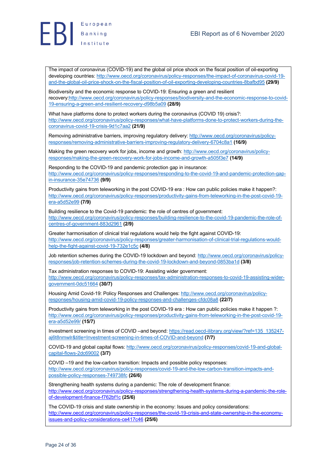



The impact of coronavirus (COVID-19) and the global oil price shock on the fiscal position of oil-exporting developing countries: http://www.oecd.org/coronavirus/policy-responses/the-impact-of-coronavirus-covid-19 and-the-global-oil-price-shock-on-the-fiscal-position-of-oil-exporting-developing-countries-8bafbd95 **(29/9)**

Biodiversity and the economic response to COVID-19: Ensuring a green and resilient recovery:http://www.oecd.org/coronavirus/policy-responses/biodiversity-and-the-economic-response-to-covid-19-ensuring-a-green-and-resilient-recovery-d98b5a09 **(28/9)**

What have platforms done to protect workers during the coronavirus (COVID 19) crisis?: http://www.oecd.org/coronavirus/policy-responses/what-have-platforms-done-to-protect-workers-during-thecoronavirus-covid-19-crisis-9d1c7aa2 **(21/9)**

Removing administrative barriers, improving regulatory delivery: http://www.oecd.org/coronavirus/policyresponses/removing-administrative-barriers-improving-regulatory-delivery-6704c8a1 **(16/9)**

Making the green recovery work for jobs, income and growth: http://www.oecd.org/coronavirus/policyresponses/making-the-green-recovery-work-for-jobs-income-and-growth-a505f3e7 **(14/9)**

Responding to the COVID-19 and pandemic protection gap in insurance: http://www.oecd.org/coronavirus/policy-responses/responding-to-the-covid-19-and-pandemic-protection-gapin-insurance-35e74736 **(9/9)**

Productivity gains from teleworking in the post COVID-19 era : How can public policies make it happen?: http://www.oecd.org/coronavirus/policy-responses/productivity-gains-from-teleworking-in-the-post-covid-19 era-a5d52e99 **(7/9)**

Building resilience to the Covid-19 pandemic: the role of centres of government: http://www.oecd.org/coronavirus/policy-responses/building-resilience-to-the-covid-19-pandemic-the-role-ofcentres-of-government-883d2961 **(2/9)**

Greater harmonisation of clinical trial regulations would help the fight against COVID-19: http://www.oecd.org/coronavirus/policy-responses/greater-harmonisation-of-clinical-trial-regulations-wouldhelp-the-fight-against-covid-19-732e1c5c **(4/8)**

Job retention schemes during the COVID-19 lockdown and beyond: http://www.oecd.org/coronavirus/policyresponses/job-retention-schemes-during-the-covid-19-lockdown-and-beyond-0853ba1d **(3/8)**

Tax administration responses to COVID-19: Assisting wider government: http://www.oecd.org/coronavirus/policy-responses/tax-administration-responses-to-covid-19-assisting-widergovernment-0dc51664 **(30/7)**

Housing Amid Covid-19: Policy Responses and Challenges: http://www.oecd.org/coronavirus/policyresponses/housing-amid-covid-19-policy-responses-and-challenges-cfdc08a8 **(22/7)**

Productivity gains from teleworking in the post COVID-19 era : How can public policies make it happen ?: http://www.oecd.org/coronavirus/policy-responses/productivity-gains-from-teleworking-in-the-post-covid-19 era-a5d52e99/ **(15/7)**

Investment screening in times of COVID –and beyond: https://read.oecd-ilibrary.org/view/?ref=135\_135247 aj6t8nmwlr&title=Investment-screening-in-times-of-COVID-and-beyond **(7/7)**

COVID-19 and global capital flows: http://www.oecd.org/coronavirus/policy-responses/covid-19-and-globalcapital-flows-2dc69002 **(3/7)**

COVID –19 and the low-carbon transition: Impacts and possible policy responses: http://www.oecd.org/coronavirus/policy-responses/covid-19-and-the-low-carbon-transition-impacts-andpossible-policy-responses-749738fc **(26/6)**

Strengthening health systems during a pandemic: The role of development finance: http://www.oecd.org/coronavirus/policy-responses/strengthening-health-systems-during-a-pandemic-the-roleof-development-finance-f762bf1c **(25/6)**

The COVID-19 crisis and state ownership in the economy: Issues and policy considerations: http://www.oecd.org/coronavirus/policy-responses/the-covid-19-crisis-and-state-ownership-in-the-economyissues-and-policy-considerations-ce417c46 **(25/6)**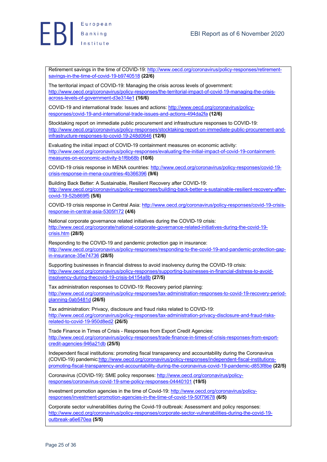

Retirement savings in the time of COVID-19: http://www.oecd.org/coronavirus/policy-responses/retirementsavings-in-the-time-of-covid-19-b9740518 **(22/6)**

The territorial impact of COVID-19: Managing the crisis across levels of government: http://www.oecd.org/coronavirus/policy-responses/the-territorial-impact-of-covid-19-managing-the-crisisacross-levels-of-government-d3e314e1 **(16/6)**

COVID-19 and international trade: Issues and actions: http://www.oecd.org/coronavirus/policyresponses/covid-19-and-international-trade-issues-and-actions-494da2fa **(12/6)**

Stocktaking report on immediate public procurement and infrastructure responses to COVID-19: http://www.oecd.org/coronavirus/policy-responses/stocktaking-report-on-immediate-public-procurement-andinfrastructure-responses-to-covid-19-248d0646 **(12/6)**

Evaluating the initial impact of COVID-19 containment measures on economic activity: http://www.oecd.org/coronavirus/policy-responses/evaluating-the-initial-impact-of-covid-19-containmentmeasures-on-economic-activity-b1f6b68b **(10/6)**

COVID-19 crisis response in MENA countries: http://www.oecd.org/coronavirus/policy-responses/covid-19 crisis-response-in-mena-countries-4b366396 **(9/6)**

Building Back Better: A Sustainable, Resilient Recovery after COVID-19: http://www.oecd.org/coronavirus/policy-responses/building-back-better-a-sustainable-resilient-recovery-aftercovid-19-52b869f5 **(5/6)**

COVID-19 crisis response in Central Asia: http://www.oecd.org/coronavirus/policy-responses/covid-19-crisisresponse-in-central-asia-5305f172 **(4/6)**

National corporate governance related initiatives during the COVID-19 crisis: http://www.oecd.org/corporate/national-corporate-governance-related-initiatives-during-the-covid-19 crisis.htm **(28/5)**

Responding to the COVID-19 and pandemic protection gap in insurance: http://www.oecd.org/coronavirus/policy-responses/responding-to-the-covid-19-and-pandemic-protection-gapin-insurance-35e74736 **(28/5)**

Supporting businesses in financial distress to avoid insolvency during the COVID-19 crisis: http://www.oecd.org/coronavirus/policy-responses/supporting-businesses-in-financial-distress-to-avoidinsolvency-during-thecovid-19-crisis-b4154a8b **(27/5)**

Tax administration responses to COVID-19: Recovery period planning: http://www.oecd.org/coronavirus/policy-responses/tax-administration-responses-to-covid-19-recovery-periodplanning-0ab5481d **(26/5)**

Tax administration: Privacy, disclosure and fraud risks related to COVID-19: http://www.oecd.org/coronavirus/policy-responses/tax-administration-privacy-disclosure-and-fraud-risksrelated-to-covid-19-950d8ed2 **(26/5)**

Trade Finance in Times of Crisis - Responses from Export Credit Agencies: http://www.oecd.org/coronavirus/policy-responses/trade-finance-in-times-of-crisis-responses-from-exportcredit-agencies-946a21db **(25/5)**

Independent fiscal institutions: promoting fiscal transparency and accountability during the Coronavirus (COVID-19) pandemic:http://www.oecd.org/coronavirus/policy-responses/independent-fiscal-institutionspromoting-fiscal-transparency-and-accountability-during-the-coronavirus-covid-19-pandemic-d853f8be **(22/5)**

Coronavirus (COVID-19): SME policy responses: http://www.oecd.org/coronavirus/policyresponses/coronavirus-covid-19-sme-policy-responses-04440101 **(19/5)**

Investment promotion agencies in the time of Covid-19: http://www.oecd.org/coronavirus/policyresponses/investment-promotion-agencies-in-the-time-of-covid-19-50f79678 **(6/5)**

Corporate sector vulnerabilities during the Covid-19 outbreak: Assessment and policy responses: http://www.oecd.org/coronavirus/policy-responses/corporate-sector-vulnerabilities-during-the-covid-19 outbreak-a6e670ea **(5/5)**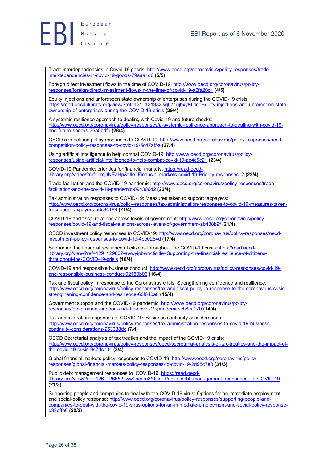

Trade interdependencies in Covid-19 goods: http://www.oecd.org/coronavirus/policy-responses/tradeinterdependencies-in-covid-19-goods-79aaa1d6 **(5/5)**

Foreign direct investment flows in the time of COVID-19: http://www.oecd.org/coronavirus/policyresponses/foreign-direct-investment-flows-in-the-time-of-covid-19-a2fa20c4 **(4/5)**

Equity injections and unforeseen state ownership of enterprises during the COVID-19 crisis: https://read.oecd-ilibrary.org/view/?ref=131\_131932-wj071ujbxy&title=Equity-injections-and-unforeseen-stateownership-of-enterprises-during-the-COVID-19-crisis **(29/4)**

A systemic resilience approach to dealing with Covid-19 and future shocks: http://www.oecd.org/coronavirus/policy-responses/a-systemic-resilience-approach-to-dealing-with-covid-19 and-future-shocks-36a5bdfb **(28/4)**

OECD competition policy responses to COVID-19: http://www.oecd.org/coronavirus/policy-responses/oecdcompetition-policy-responses-to-covid-19-5c47af5a **(27/4)**

Using artificial intelligence to help combat COVID-19: http://www.oecd.org/coronavirus/policyresponses/using-artificial-intelligence-to-help-combat-covid-19-ae4c5c21 **(23/4)**

COVID-19 Pandemic: priorities for financial markets: https://read.oecdilibrary.org/video/?ref=pmjltNEaHp&title=Financial-markets-covid-19-Priority-responses\_2 **(22/4)**

Trade facilitation and the COVID-19 pandemic: http://www.oecd.org/coronavirus/policy-responses/tradefacilitation-and-the-covid-19-pandemic-094306d2 **(22/4)**

Tax administration responses to COVID-19: Measures taken to support taxpayers: http://www.oecd.org/coronavirus/policy-responses/tax-administration-responses-to-covid-19-measures-takento-support-taxpayers-adc84188 **(21/4)**

COVID-19 and fiscal relations across levels of government: http://www.oecd.org/coronavirus/policyresponses/covid-19-and-fiscal-relations-across-levels-of-government-ab438b9f **(21/4)**

OECD investment policy responses to COVID-19: http://www.oecd.org/coronavirus/policy-responses/oecdinvestment-policy-responses-to-covid-19-4be0254d **(17/4)**

Supporting the financial resilience of citizens throughout the COVID-19 crisis:https://read.oecdilibrary.org/view/?ref=129\_129607-awwyipbwh4&title=Supporting-the-financial-resilience-of-citizensthroughout-the-COVID-19-crisis **(16/4)**

COVID-19 and responsible business conduct: http://www.oecd.org/coronavirus/policy-responses/covid-19 and-responsible-business-conduct-02150b06 **(16/4)**

Tax and fiscal policy in response to the Coronavirus crisis: Strengthening confidence and resilience: http://www.oecd.org/coronavirus/policy-responses/tax-and-fiscal-policy-in-response-to-the-coronavirus-crisisstrengthening-confidence-and-resilience-60f640a8 **(15/4)**

Government support and the COVID-19 pandemic: http://www.oecd.org/coronavirus/policyresponses/government-support-and-the-covid-19-pandemic-cb8ca170 **(14/4)**

Tax administration responses to COVID-19: Business continuity considerations: http://www.oecd.org/coronavirus/policy-responses/tax-administration-responses-to-covid-19-businesscontinuity-considerations-953338dc **(7/4)**

OECD Secretariat analysis of tax treaties and the impact of the COVID-19 crisis: http://www.oecd.org/coronavirus/policy-responses/oecd-secretariat-analysis-of-tax-treaties-and-the-impact-ofthe-covid-19-crisis-947dcb01 **(3/4)**

Global financial markets policy responses to COVID-19: http://www.oecd.org/coronavirus/policyresponses/global-financial-markets-policy-responses-to-covid-19-2d98c7e0 **(31/3)**

Public debt management responses to COVID-19: https://read.oecdilibrary.org/view/?ref=126\_126652xww0besra3&title=Public\_debt\_management\_responses\_to\_COVID-19 (**21/3)**

Supporting people and companies to deal with the COVID-19 virus: Options for an immediate employment and social-policy response: http://www.oecd.org/coronavirus/policy-responses/supporting-people-andcompanies-to-deal-with-the-covid-19-virus-options-for-an-immediate-employment-and-social-policy-responsed33dffe6 **(20/3)**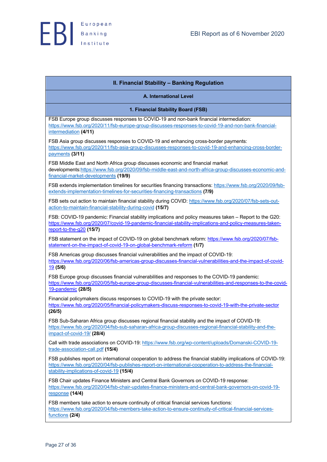| <b>II. Financial Stability - Banking Regulation</b>                                                                                                                                                                                                                    |
|------------------------------------------------------------------------------------------------------------------------------------------------------------------------------------------------------------------------------------------------------------------------|
| <b>A. International Level</b>                                                                                                                                                                                                                                          |
| 1. Financial Stability Board (FSB)                                                                                                                                                                                                                                     |
| FSB Europe group discusses responses to COVID-19 and non-bank financial intermediation:<br>https://www.fsb.org/2020/11/fsb-europe-group-discusses-responses-to-covid-19-and-non-bank-financial-<br>intermediation (4/11)                                               |
| FSB Asia group discusses responses to COVID-19 and enhancing cross-border payments:<br>https://www.fsb.org/2020/11/fsb-asia-group-discusses-responses-to-covid-19-and-enhancing-cross-border-<br>payments (3/11)                                                       |
| FSB Middle East and North Africa group discusses economic and financial market<br>developments:https://www.fsb.org/2020/09/fsb-middle-east-and-north-africa-group-discusses-economic-and-<br>financial-market-developments (19/9)                                      |
| FSB extends implementation timelines for securities financing transactions: https://www.fsb.org/2020/09/fsb-<br>extends-implementation-timelines-for-securities-financing-transactions (7/9)                                                                           |
| FSB sets out action to maintain financial stability during COVID: https://www.fsb.org/2020/07/fsb-sets-out-<br>action-to-maintain-financial-stability-during-covid (15/7)                                                                                              |
| FSB: COVID-19 pandemic: Financial stability implications and policy measures taken - Report to the G20:<br>https://www.fsb.org/2020/07/covid-19-pandemic-financial-stability-implications-and-policy-measures-taken-<br>report-to-the-g20 (15/7)                       |
| FSB statement on the impact of COVID-19 on global benchmark reform: https://www.fsb.org/2020/07/fsb-<br>statement-on-the-impact-of-covid-19-on-global-benchmark-reform (1/7)                                                                                           |
| FSB Americas group discusses financial vulnerabilities and the impact of COVID-19:<br>https://www.fsb.org/2020/06/fsb-americas-group-discusses-financial-vulnerabilities-and-the-impact-of-covid-<br>19(5/6)                                                           |
| FSB Europe group discusses financial vulnerabilities and responses to the COVID-19 pandemic:<br>https://www.fsb.org/2020/05/fsb-europe-group-discusses-financial-vulnerabilities-and-responses-to-the-covid-<br>19-pandemic (28/5)                                     |
| Financial policymakers discuss responses to COVID-19 with the private sector:<br>https://www.fsb.org/2020/05/financial-policymakers-discuss-responses-to-covid-19-with-the-private-sector<br>(26/5)                                                                    |
| FSB Sub-Saharan Africa group discusses regional financial stability and the impact of COVID-19:<br>https://www.fsb.org/2020/04/fsb-sub-saharan-africa-group-discusses-regional-financial-stability-and-the-<br>impact-of-covid-19/ (28/4)                              |
| Call with trade associations on COVID-19: https://www.fsb.org/wp-content/uploads/Domanski-COVID-19-<br>trade-association-call.pdf (15/4)                                                                                                                               |
| FSB publishes report on international cooperation to address the financial stability implications of COVID-19:<br>https://www.fsb.org/2020/04/fsb-publishes-report-on-international-cooperation-to-address-the-financial-<br>stability-implications-of-covid-19 (15/4) |
| FSB Chair updates Finance Ministers and Central Bank Governors on COVID-19 response:<br>https://www.fsb.org/2020/04/fsb-chair-updates-finance-ministers-and-central-bank-governors-on-covid-19-<br>response (14/4)                                                     |
| FSB members take action to ensure continuity of critical financial services functions:<br>https://www.fsb.org/2020/04/fsb-members-take-action-to-ensure-continuity-of-critical-financial-services-<br>functions (2/4)                                                  |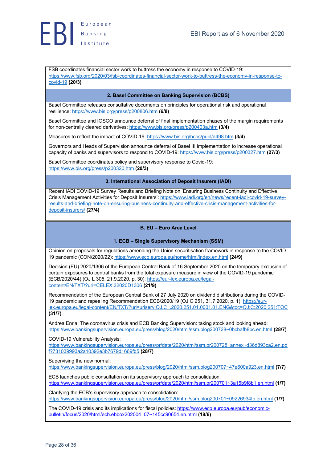

FSB coordinates financial sector work to buttress the economy in response to COVID-19: https://www.fsb.org/2020/03/fsb-coordinates-financial-sector-work-to-buttress-the-economy-in-response-tocovid-19 **(20/3)**

### **2. Basel Committee on Banking Supervision (BCBS)**

Basel Committee releases consultative documents on principles for operational risk and operational resilience: https://www.bis.org/press/p200806.htm **(6/8)**

Basel Committee and IOSCO announce deferral of final implementation phases of the margin requirements for non-centrally cleared derivatives: https://www.bis.org/press/p200403a.htm **(3/4)**

Measures to reflect the impact of COVID-19: https://www.bis.org/bcbs/publ/d498.htm **(3/4)**

Governors and Heads of Supervision announce deferral of Basel III implementation to increase operational capacity of banks and supervisors to respond to CΟVID-19: https://www.bis.org/press/p200327.htm **(27/3)**

Basel Committee coordinates policy and supervisory response to Covid-19: https://www.bis.org/press/p200320.htm **(20/3)**

### **3. International Association of Deposit Insurers (IADI)**

Recent IADI COVID-19 Survey Results and Briefing Note on 'Ensuring Business Continuity and Effective Crisis Management Activities for Deposit Insurers': https://www.iadi.org/en/news/recent-iadi-covid-19-surveyresults-and-briefing-note-on-ensuring-business-continuity-and-effective-crisis-management-activities-fordeposit-insurers/ **(27/4)**

### **B. EU – Euro Area Level**

### **1. ECB – Single Supervisory Mechanism (SSM)**

Opinion on proposals for regulations amending the Union securitisation framework in response to the COVID-19 pandemic (CON/2020/22): https://www.ecb.europa.eu/home/html/index.en.html **(24/9)**

Decision (EU) 2020/1306 of the European Central Bank of 16 September 2020 on the temporary exclusion of certain exposures to central banks from the total exposure measure in view of the COVID-19 pandemic (ECB/2020/44) (OJ L 305, 21.9.2020, p. 30): https://eur-lex.europa.eu/legalcontent/EN/TXT/?uri=CELEX:32020D1306 **(21/9)**

Recommendation of the European Central Bank of 27 July 2020 on dividend distributions during the COVID-19 pandemic and repealing Recommendation ECB/2020/19 (OJ C 251, 31.7.2020, p. 1): https://eurlex.europa.eu/legal-content/EN/TXT/?uri=uriserv:OJ.C\_.2020.251.01.0001.01.ENG&toc=OJ:C:2020:251:TOC **(31/7)**

Andrea Enria: The coronavirus crisis and ECB Banking Supervision: taking stock and looking ahead: https://www.bankingsupervision.europa.eu/press/blog/2020/html/ssm.blog200728~0bcbafb8bc.en.html **(28/7)**

COVID-19 Vulnerability Analysis:

https://www.bankingsupervision.europa.eu/press/pr/date/2020/html/ssm.pr200728\_annex~d36d893ca2.en.pd f?731039993a2a10392e3b7679d1669fb5 **(28/7)**

Supervising the new normal:

https://www.bankingsupervision.europa.eu/press/blog/2020/html/ssm.blog200707~47e600a923.en.html **(7/7)**

ECB launches public consultation on its supervisory approach to consolidation: https://www.bankingsupervision.europa.eu/press/pr/date/2020/html/ssm.pr200701~3a15b9f8b1.en.html **(1/7)**

Clarifying the ECB's supervisory approach to consolidation: https://www.bankingsupervision.europa.eu/press/blog/2020/html/ssm.blog200701~09226934fb.en.html **(1/7)**

The COVID-19 crisis and its implications for fiscal policies: https://www.ecb.europa.eu/pub/economicbulletin/focus/2020/html/ecb.ebbox202004\_07~145cc90654.en.html **(18/6)**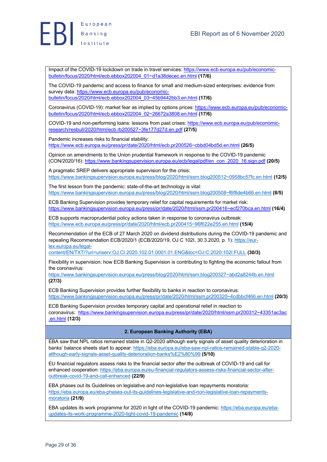Impact of the COVID-19 lockdown on trade in travel services: https://www.ecb.europa.eu/pub/economicbulletin/focus/2020/html/ecb.ebbox202004\_01~d1a38decec.en.html **(17/6)**

The COVID-19 pandemic and access to finance for small and medium-sized enterprises: evidence from survey data: https://www.ecb.europa.eu/pub/economicbulletin/focus/2020/html/ecb.ebbox202004\_03~45b9442bb3.en.html **(17/6)**

Coronavirus (COVID-19): market fear as implied by options prices: https://www.ecb.europa.eu/pub/economicbulletin/focus/2020/html/ecb.ebbox202004\_02~26672a3808.en.html **(17/6)**

COVID-19 and non-performing loans: lessons from past crises: https://www.ecb.europa.eu/pub/economicresearch/resbull/2020/html/ecb.rb200527~3fe177d27d.en.pdf **(27/5)**

Pandemic increases risks to financial stability:

https://www.ecb.europa.eu/press/pr/date/2020/html/ecb.pr200526~cbbd04bd5d.en.html **(26/5)**

Opinion on amendments to the Union prudential framework in response to the COVID-19 pandemic (CON/2020/16): https://www.bankingsupervision.europa.eu/ecb/legal/pdf/en\_con\_2020\_16.sign.pdf **(20/5)**

A pragmatic SREP delivers appropriate supervision for the crisis: https://www.bankingsupervision.europa.eu/press/blog/2020/html/ssm.blog200512~0958bc57fc.en.html **(12/5)**

The first lesson from the pandemic: state-of-the-art technology is vital: https://www.bankingsupervision.europa.eu/press/blog/2020/html/ssm.blog200508~f6f8de4b66.en.html **(8/5)**

ECB Banking Supervision provides temporary relief for capital requirements for market risk: https://www.bankingsupervision.europa.eu/press/pr/date/2020/html/ssm.pr200416~ecf270bca.en.html **(16/4)**

ECB supports macroprudential policy actions taken in response to coronavirus outbreak: https://www.ecb.europa.eu/press/pr/date/2020/html/ecb.pr200415~96f622e255.en.html **(15/4)**

Recommendation of the ECB of 27 March 2020 on dividend distributions during the COVID-19 pandemic and repealing Recommendation ECB/2020/1 (ECB/2020/19, OJ C 102I, 30.3.2020, p. 1): https://eurlex.europa.eu/legal-

content/EN/TXT/?uri=uriserv:OJ.CI.2020.102.01.0001.01.ENG&toc=OJ:C:2020:102I:FULL **(30/3)**

Flexibility in supervision: how ECB Banking Supervision is contributing to fighting the economic fallout from the coronavirus:

https://www.bankingsupervision.europa.eu/press/blog/2020/html/ssm.blog200327~abd2a8244b.en.html **(27/3)**

ECB Banking Supervision provides further flexibility to banks in reaction to coronavirus: https://www.bankingsupervision.europa.eu/press/pr/date/2020/html/ssm.pr200320~4cdbbcf466.en.html **(20/3)**

ECB Banking Supervision provides temporary capital and operational relief in reaction to coronavirus: https://www.bankingsupervision.europa.eu/press/pr/date/2020/html/ssm.pr200312~43351ac3ac .en.html **(12/3)**

### **2. European Banking Authority (EBA)**

EBA saw that NPL ratios remained stable in Q2-2020 although early signals of asset quality deterioration in banks' balance sheets start to appear: https://eba.europa.eu/eba-saw-npl-ratios-remained-stable-q2-2020 although-early-signals-asset-quality-deterioration-banks%E2%80%99 **(5/10)**

EU financial regulators assess risks to the financial sector after the outbreak of COVID-19 and call for enhanced cooperation: https://eba.europa.eu/eu-financial-regulators-assess-risks-financial-sector-afteroutbreak-covid-19-and-call-enhanced **(22/9)**

EBA phases out its Guidelines on legislative and non-legislative loan repayments moratoria: https://eba.europa.eu/eba-phases-out-its-guidelines-legislative-and-non-legislative-loan-repaymentsmoratoria **(21/9)**

EBA updates its work programme for 2020 in light of the COVID-19 pandemic: https://eba.europa.eu/ebaupdates-its-work-programme-2020-light-covid-19-pandemic **(14/8)**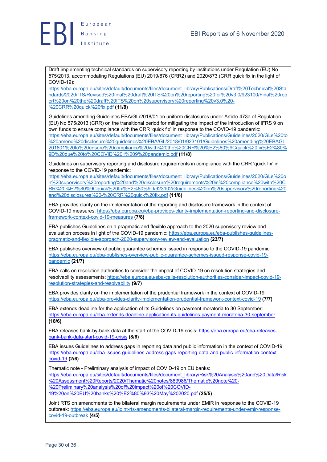Draft implementing technical standards on supervisory reporting by institutions under Regulation (EU) No 575/2013, accommodating Regulations (EU) 2019/876 (CRR2) and 2020/873 (CRR quick fix in the light of COVID-19):

https://eba.europa.eu/sites/default/documents/files/document\_library/Publications/Draft%20Technical%20Sta ndards/2020/ITS/Revised%20final%20draft%20ITS%20on%20reporting%20for%20v3.0/923100/Final%20rep ort%20on%20the%20draft%20ITS%20on%20supervisory%20reporting%20v3.0%20- %20CRR%20quick%20fix.pdf **(11/8)**

Guidelines amending Guidelines EBA/GL/2018/01 on uniform disclosures under Article 473a of Regulation (EU) No 575/2013 (CRR) on the transitional period for mitigating the impact of the introduction of IFRS 9 on own funds to ensure compliance with the CRR 'quick fix' in response to the COVID-19 pandemic: https://eba.europa.eu/sites/default/documents/files/document\_library/Publications/Guidelines/2020/GLs%20to %20amend%20disclosure%20guidelines%20EBA/GL/2018/01/923101/Guidelines%20amending%20EBAGL 201801%20to%20ensure%20compliance%20with%20the%20CRR%20%E2%80%9Cquick%20fix%E2%80% 9D%20due%20to%20COVID%201%209%20pandemic.pdf **(11/8)**

Guidelines on supervisory reporting and disclosure requirements in compliance with the CRR 'quick fix' in response to the COVID-19 pandemic:

https://eba.europa.eu/sites/default/documents/files/document\_library/Publications/Guidelines/2020/GLs%20o n%20supervisory%20reporting%20and%20disclosure%20requirements%20in%20compliance%20with%20C RR%20%E2%80%9Cquick%20fix%E2%80%9D/923102/Guidelines%20on%20supervisory%20reporting%20 and%20disclosures%20-%20CRR%20quick%20fix.pdf **(11/8)**

EBA provides clarity on the implementation of the reporting and disclosure framework in the context of COVID-19 measures: https://eba.europa.eu/eba-provides-clarity-implementation-reporting-and-disclosureframework-context-covid-19-measures **(7/8)**

EBA publishes Guidelines on a pragmatic and flexible approach to the 2020 supervisory review and evaluation process in light of the COVID-19 pandemic: https://eba.europa.eu/eba-publishes-guidelinespragmatic-and-flexible-approach-2020-supervisory-review-and-evaluation **(23/7)**

EBA publishes overview of public guarantee schemes issued in response to the COVID-19 pandemic: https://eba.europa.eu/eba-publishes-overview-public-guarantee-schemes-issued-response-covid-19 pandemic **(21/7)**

EBA calls on resolution authorities to consider the impact of COVID-19 on resolution strategies and resolvability assessments: https://eba.europa.eu/eba-calls-resolution-authorities-consider-impact-covid-19 resolution-strategies-and-resolvability **(9/7)**

EBA provides clarity on the implementation of the prudential framework in the context of COVID-19: https://eba.europa.eu/eba-provides-clarity-implementation-prudential-framework-context-covid-19 **(7/7)**

EBA extends deadline for the application of its Guidelines on payment moratoria to 30 September: https://eba.europa.eu/eba-extends-deadline-application-its-guidelines-payment-moratoria-30-september **(18/6)**

EBA releases bank-by-bank data at the start of the COVID-19 crisis: https://eba.europa.eu/eba-releasesbank-bank-data-start-covid-19-crisis **(8/6)**

EBA issues Guidelines to address gaps in reporting data and public information in the context of COVID-19: https://eba.europa.eu/eba-issues-guidelines-address-gaps-reporting-data-and-public-information-contextcovid-19 **(2/6)**

Thematic note - Preliminary analysis of impact of COVID-19 on EU banks: https://eba.europa.eu/sites/default/documents/files/document\_library/Risk%20Analysis%20and%20Data/Risk %20Assessment%20Reports/2020/Thematic%20notes/883986/Thematic%20note%20- %20Preliminary%20analysis%20of%20impact%20of%20COVID-19%20on%20EU%20banks%20%E2%80%93%20May%202020.pdf **(25/5)**

Joint RTS on amendments to the bilateral margin requirements under EMIR in response to the COVID-19 outbreak: https://eba.europa.eu/joint-rts-amendments-bilateral-margin-requirements-under-emir-responsecovid-19-outbreak **(4/5)**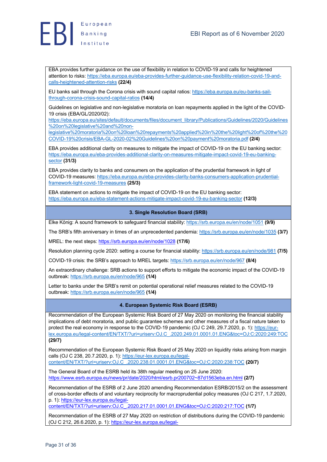

EBA provides further guidance on the use of flexibility in relation to COVID-19 and calls for heightened attention to risks: https://eba.europa.eu/eba-provides-further-guidance-use-flexibility-relation-covid-19-andcalls-heightened-attention-risks **(22/4)**

EU banks sail through the Corona crisis with sound capital ratios: https://eba.europa.eu/eu-banks-sailthrough-corona-crisis-sound-capital-ratios **(14/4)**

Guidelines on legislative and non-legislative moratoria on loan repayments applied in the light of the COVID-19 crisis (EBA/GL/2020/02):

https://eba.europa.eu/sites/default/documents/files/document\_library/Publications/Guidelines/2020/Guidelines %20on%20legislative%20and%20non-

legislative%20moratoria%20on%20loan%20repayments%20applied%20in%20the%20light%20of%20the%20 COVID-19%20crisis/EBA-GL-2020-02%20Guidelines%20on%20payment%20moratoria.pdf **(2/4)**

EBA provides additional clarity on measures to mitigate the impact of COVID-19 on the EU banking sector: https://eba.europa.eu/eba-provides-additional-clarity-on-measures-mitigate-impact-covid-19-eu-bankingsector **(31/3)**

EBA provides clarity to banks and consumers on the application of the prudential framework in light of COVID-19 measures: https://eba.europa.eu/eba-provides-clarity-banks-consumers-application-prudentialframework-light-covid-19-measures **(25/3)**

EBA statement on actions to mitigate the impact of COVID-19 on the EU banking sector: https://eba.europa.eu/eba-statement-actions-mitigate-impact-covid-19-eu-banking-sector **(12/3)**

### **3. Single Resolution Board (SRB)**

Elke König: A sound framework to safeguard financial stability: https://srb.europa.eu/en/node/1051 **(9/9)**

The SRB's fifth anniversary in times of an unprecedented pandemia: https://srb.europa.eu/en/node/1035 **(3/7)**

MREL: the next steps: https://srb.europa.eu/en/node/1028 **(17/6)**

Resolution planning cycle 2020: setting a course for financial stability: https://srb.europa.eu/en/node/981 **(7/5)**

COVID-19 crisis: the SRB's approach to MREL targets: https://srb.europa.eu/en/node/967 **(8/4)**

An extraordinary challenge: SRB actions to support efforts to mitigate the economic impact of the COVID-19 outbreak: https://srb.europa.eu/en/node/965 **(1/4)**

Letter to banks under the SRB's remit on potential operational relief measures related to the COVID-19 outbreak: https://srb.europa.eu/en/node/965 **(1/4)**

### **4. European Systemic Risk Board (ESRB)**

Recommendation of the European Systemic Risk Board of 27 May 2020 on monitoring the financial stability implications of debt moratoria, and public guarantee schemes and other measures of a fiscal nature taken to protect the real economy in response to the COVID-19 pandemic (OJ C 249, 29.7.2020, p. 1): https://eurlex.europa.eu/legal-content/EN/TXT/?uri=uriserv:OJ.C\_.2020.249.01.0001.01.ENG&toc=OJ:C:2020:249:TOC **(29/7)**

Recommendation of the European Systemic Risk Board of 25 May 2020 on liquidity risks arising from margin calls (OJ C 238, 20.7.2020, p. 1): https://eur-lex.europa.eu/legalcontent/EN/TXT/?uri=uriserv:OJ.C\_.2020.238.01.0001.01.ENG&toc=OJ:C:2020:238:TOC **(20/7)**

The General Board of the ESRB held its 38th regular meeting on 25 June 2020: https://www.esrb.europa.eu/news/pr/date/2020/html/esrb.pr200702~87d1563eba.en.html **(2/7)**

Recommendation of the ESRB of 2 June 2020 amending Recommendation ESRB/2015/2 on the assessment of cross-border effects of and voluntary reciprocity for macroprudential policy measures (OJ C 217, 1.7.2020, p. 1): https://eur-lex.europa.eu/legal-

content/EN/TXT/?uri=uriserv:OJ.C\_.2020.217.01.0001.01.ENG&toc=OJ:C:2020:217:TOC **(1/7)**

Recommendation of the ESRB of 27 May 2020 on restriction of distributions during the COVID-19 pandemic (OJ C 212, 26.6.2020, p. 1): https://eur-lex.europa.eu/legal-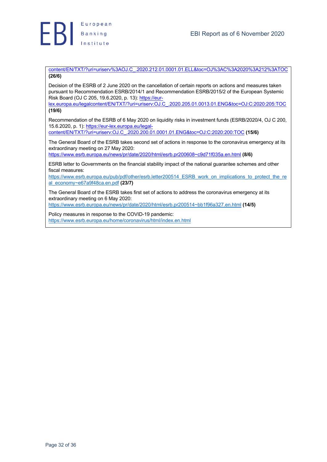

content/EN/TXT/?uri=uriserv%3AOJ.C\_.2020.212.01.0001.01.ELL&toc=OJ%3AC%3A2020%3A212%3ATOC **(26/6)**

Decision of the ESRB of 2 June 2020 on the cancellation of certain reports on actions and measures taken pursuant to Recommendation ESRB/2014/1 and Recommendation ESRB/2015/2 of the European Systemic Risk Board (OJ C 205, 19.6.2020, p. 13): https://eur-

lex.europa.eu/legalcontent/EN/TXT/?uri=uriserv:OJ.C\_.2020.205.01.0013.01.ENG&toc=OJ:C:2020:205:TOC **(19/6)**

Recommendation of the ESRB of 6 May 2020 on liquidity risks in investment funds (ESRB/2020/4, OJ C 200, 15.6.2020, p. 1): https://eur-lex.europa.eu/legal-

content/EN/TXT/?uri=uriserv:OJ.C\_.2020.200.01.0001.01.ENG&toc=OJ:C:2020:200:TOC **(15/6)**

The General Board of the ESRB takes second set of actions in response to the coronavirus emergency at its extraordinary meeting on 27 May 2020:

https://www.esrb.europa.eu/news/pr/date/2020/html/esrb.pr200608~c9d71f035a.en.html **(8/6)**

ESRB letter to Governments on the financial stability impact of the national guarantee schemes and other fiscal measures:

https://www.esrb.europa.eu/pub/pdf/other/esrb.letter200514\_ESRB\_work\_on\_implications\_to\_protect\_the\_re al\_economy~e67a9f48ca.en.pdf **(23/7)**

The General Board of the ESRB takes first set of actions to address the coronavirus emergency at its extraordinary meeting on 6 May 2020:

https://www.esrb.europa.eu/news/pr/date/2020/html/esrb.pr200514~bb1f96a327.en.html **(14/5)**

Policy measures in response to the COVID-19 pandemic: https://www.esrb.europa.eu/home/coronavirus/html/index.en.html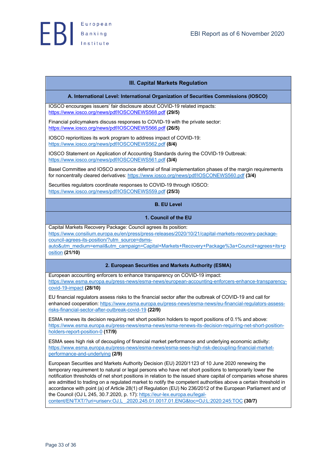### **III. Capital Markets Regulation**

### **A. International Level: International Organization of Securities Commissions (IOSCO)**

IOSCO encourages issuers' fair disclosure about COVID-19 related impacts: https://www.iosco.org/news/pdf/IOSCONEWS568.pdf **(29/5)**

Financial policymakers discuss responses to COVID-19 with the private sector: https://www.iosco.org/news/pdf/IOSCONEWS566.pdf **(26/5)**

IOSCO reprioritizes its work program to address impact of COVID-19: https://www.iosco.org/news/pdf/IOSCONEWS562.pdf **(8/4)**

IOSCO Statement on Application of Accounting Standards during the COVID-19 Outbreak: https://www.iosco.org/news/pdf/IOSCONEWS561.pdf **(3/4)**

Basel Committee and IOSCO announce deferral of final implementation phases of the margin requirements for noncentrally cleared derivatives: https://www.iosco.org/news/pdf/IOSCONEWS560.pdf **(3/4)**

Securities regulators coordinate responses to COVID-19 through IOSCO: https://www.iosco.org/news/pdf/IOSCONEWS559.pdf **(25/3)**

# **B. EU Level**

### **1. Council of the EU**

Capital Markets Recovery Package: Council agrees its position: https://www.consilium.europa.eu/en/press/press-releases/2020/10/21/capital-markets-recovery-packagecouncil-agrees-its-position/?utm\_source=dsms-

auto&utm\_medium=email&utm\_campaign=Capital+Markets+Recovery+Package%3a+Council+agrees+its+p osition **(21/10)**

### **2. European Securities and Markets Authority (ESMA)**

European accounting enforcers to enhance transparency on COVID-19 impact: https://www.esma.europa.eu/press-news/esma-news/european-accounting-enforcers-enhance-transparencycovid-19-impact **(28/10)**

EU financial regulators assess risks to the financial sector after the outbreak of COVID-19 and call for enhanced cooperation: https://www.esma.europa.eu/press-news/esma-news/eu-financial-regulators-assessrisks-financial-sector-after-outbreak-covid-19 **(22/9)**

ESMA renews its decision requiring net short position holders to report positions of 0.1% and above: https://www.esma.europa.eu/press-news/esma-news/esma-renews-its-decision-requiring-net-short-positionholders-report-position-0 **(17/9)**

ESMA sees high risk of decoupling of financial market performance and underlying economic activity: https://www.esma.europa.eu/press-news/esma-news/esma-sees-high-risk-decoupling-financial-marketperformance-and-underlying **(2/9)**

European Securities and Markets Authority Decision (EU) 2020/1123 of 10 June 2020 renewing the temporary requirement to natural or legal persons who have net short positions to temporarily lower the notification thresholds of net short positions in relation to the issued share capital of companies whose shares are admitted to trading on a regulated market to notify the competent authorities above a certain threshold in accordance with point (a) of Article 28(1) of Regulation (EU) No 236/2012 of the European Parliament and of the Council (OJ L 245, 30.7.2020, p. 17): https://eur-lex.europa.eu/legalcontent/EN/TXT/?uri=uriserv:OJ.L\_.2020.245.01.0017.01.ENG&toc=OJ:L:2020:245:TOC **(30/7)**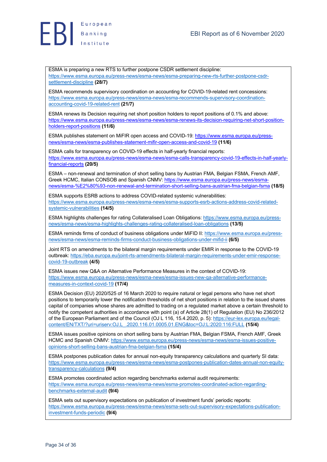

ESMA is preparing a new RTS to further postpone CSDR settlement discipline: https://www.esma.europa.eu/press-news/esma-news/esma-preparing-new-rts-further-postpone-csdrsettlement-discipline **(28/7)**

ESMA recommends supervisory coordination on accounting for COVID-19-related rent concessions: https://www.esma.europa.eu/press-news/esma-news/esma-recommends-supervisory-coordinationaccounting-covid-19-related-rent **(21/7)**

ESMA renews its Decision requiring net short position holders to report positions of 0.1% and above: https://www.esma.europa.eu/press-news/esma-news/esma-renews-its-decision-requiring-net-short-positionholders-report-positions **(11/6)**

ESMA publishes statement on MiFIR open access and COVID-19: https://www.esma.europa.eu/pressnews/esma-news/esma-publishes-statement-mifir-open-access-and-covid-19 **(11/6)**

ESMA calls for transparency on COVID-19 effects in half-yearly financial reports: https://www.esma.europa.eu/press-news/esma-news/esma-calls-transparency-covid-19-effects-in-half-yearlyfinancial-reports **(20/5)**

ESMA – non-renewal and termination of short selling bans by Austrian FMA, Belgian FSMA, French AMF, Greek HCMC, Italian CONSOB and Spanish CNMV: https://www.esma.europa.eu/press-news/esmanews/esma-%E2%80%93-non-renewal-and-termination-short-selling-bans-austrian-fma-belgian-fsma **(18/5)**

ESMA supports ESRB actions to address COVID-related systemic vulnerabilities: https://www.esma.europa.eu/press-news/esma-news/esma-supports-esrb-actions-address-covid-relatedsystemic-vulnerabilities **(14/5)**

ESMA highlights challenges for rating Collateralised Loan Obligations: https://www.esma.europa.eu/pressnews/esma-news/esma-highlights-challenges-rating-collateralised-loan-obligations **(13/5)**

ESMA reminds firms of conduct of business obligations under MiFID II: https://www.esma.europa.eu/pressnews/esma-news/esma-reminds-firms-conduct-business-obligations-under-mifid-ii **(6/5)**

Joint RTS on amendments to the bilateral margin requirements under EMIR in response to the COVID-19 outbreak: https://eba.europa.eu/joint-rts-amendments-bilateral-margin-requirements-under-emir-responsecovid-19-outbreak **(4/5)**

ESMA issues new Q&A on Alternative Performance Measures in the context of COVID-19: https://www.esma.europa.eu/press-news/esma-news/esma-issues-new-qa-alternative-performancemeasures-in-context-covid-19 **(17/4)**

ESMA Decision (EU) 2020/525 of 16 March 2020 to require natural or legal persons who have net short positions to temporarily lower the notification thresholds of net short positions in relation to the issued shares capital of companies whose shares are admitted to trading on a regulated market above a certain threshold to notify the competent authorities in accordance with point (a) of Article 28(1) of Regulation (EU) No 236/2012 of the European Parliament and of the Council (OJ L 116, 15.4.2020, p. 5): https://eur-lex.europa.eu/legalcontent/EN/TXT/?uri=uriserv:OJ.L\_.2020.116.01.0005.01.ENG&toc=OJ:L:2020:116:FULL **(15/4)**

ESMA issues positive opinions on short selling bans by Austrian FMA, Belgian FSMA, French AMF, Greek HCMC and Spanish CNMV: https://www.esma.europa.eu/press-news/esma-news/esma-issues-positiveopinions-short-selling-bans-austrian-fma-belgian-fsma **(15/4)**

ESMA postpones publication dates for annual non-equity transparency calculations and quarterly SI data: https://www.esma.europa.eu/press-news/esma-news/esma-postpones-publication-dates-annual-non-equitytransparency-calculations **(9/4)**

ESMA promotes coordinated action regarding benchmarks external audit requirements: https://www.esma.europa.eu/press-news/esma-news/esma-promotes-coordinated-action-regardingbenchmarks-external-audit **(9/4)**

ESMA sets out supervisory expectations on publication of investment funds' periodic reports: https://www.esma.europa.eu/press-news/esma-news/esma-sets-out-supervisory-expectations-publicationinvestment-funds-periodic **(9/4)**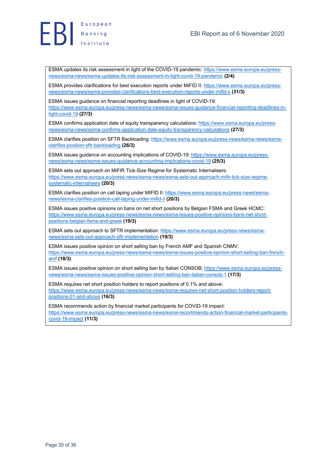

ESMA updates its risk assessment in light of the COVID-19 pandemic: https://www.esma.europa.eu/pressnews/esma-news/esma-updates-its-risk-assessment-in-light-covid-19-pandemic **(2/4)**

ESMA provides clarifications for best execution reports under MiFID II: https://www.esma.europa.eu/pressnews/esma-news/esma-provides-clarifications-best-execution-reports-under-mifid-ii **(31/3)**

ESMA issues guidance on financial reporting deadlines in light of COVID-19: https://www.esma.europa.eu/press-news/esma-news/esma-issues-guidance-financial-reporting-deadlines-inlight-covid-19 **(27/3)**

ESMA confirms application date of equity transparency calculations: https://www.esma.europa.eu/pressnews/esma-news/esma-confirms-application-date-equity-transparency-calculations **(27/3)**

ESMA clarifies position on SFTR Backloading: https://www.esma.europa.eu/press-news/esma-news/esmaclarifies-position-sftr-backloading **(26/3)**

ESMA issues guidance on accounting implications of COVID-19: https://www.esma.europa.eu/pressnews/esma-news/esma-issues-guidance-accounting-implications-covid-19 **(25/3)**

ESMA sets out approach on MiFIR Tick-Size Regime for Systematic Internalisers: https://www.esma.europa.eu/press-news/esma-news/esma-sets-out-approach-mifir-tick-size-regimesystematic-internalisers **(20/3)**

ESMA clarifies position on call taping under MIFID II: https://www.esma.europa.eu/press-news/esmanews/esma-clarifies-position-call-taping-under-mifid-ii **(20/3)**

ESMA issues positive opinions on bans on net short positions by Belgian FSMA and Greek HCMC: https://www.esma.europa.eu/press-news/esma-news/esma-issues-positive-opinions-bans-net-shortpositions-belgian-fsma-and-greek **(19/3)**

ESMA sets out approach to SFTR implementation: https://www.esma.europa.eu/press-news/esmanews/esma-sets-out-approach-sftr-implementation **(19/3)**

ESMA issues positive opinion on short selling ban by French AMF and Spanish CNMV: https://www.esma.europa.eu/press-news/esma-news/esma-issues-positive-opinion-short-selling-ban-frenchamf **(18/3)**

ESMA issues positive opinion on short selling ban by Italian CONSOB: https://www.esma.europa.eu/pressnews/esma-news/esma-issues-positive-opinion-short-selling-ban-italian-consob-1 **(17/3)**

ESMA requires net short position holders to report positions of 0.1% and above: https://www.esma.europa.eu/press-news/esma-news/esma-requires-net-short-position-holders-reportpositions-01-and-above **(16/3)**

ESMA recommends action by financial market participants for COVID-19 impact: https://www.esma.europa.eu/press-news/esma-news/esma-recommends-action-financial-market-participantscovid-19-impact **(11/3)**